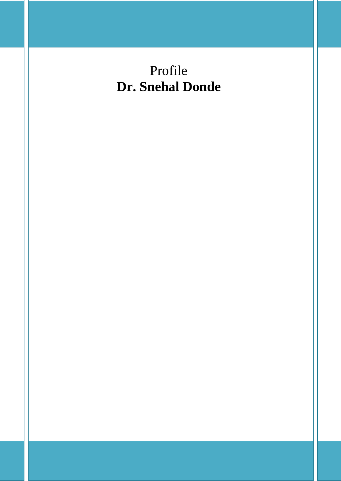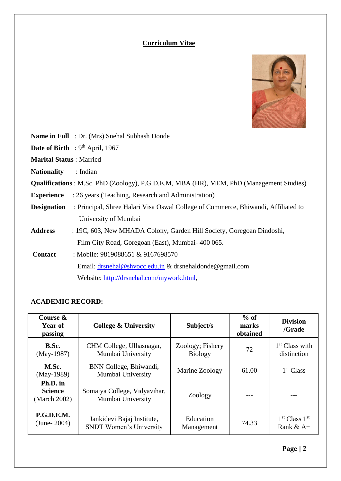# **Curriculum Vitae**



|                                | <b>Name in Full</b> : Dr. (Mrs) Snehal Subhash Donde                                            |
|--------------------------------|-------------------------------------------------------------------------------------------------|
|                                | <b>Date of Birth</b> : $9th$ April, 1967                                                        |
| <b>Marital Status: Married</b> |                                                                                                 |
| <b>Nationality</b>             | : Indian                                                                                        |
|                                | <b>Qualifications</b> : M.Sc. PhD (Zoology), P.G.D.E.M, MBA (HR), MEM, PhD (Management Studies) |
| <b>Experience</b>              | : 26 years (Teaching, Research and Administration)                                              |
| <b>Designation</b>             | : Principal, Shree Halari Visa Oswal College of Commerce, Bhiwandi, Affiliated to               |
|                                | University of Mumbai                                                                            |
| <b>Address</b>                 | : 19C, 603, New MHADA Colony, Garden Hill Society, Goregoan Dindoshi,                           |
|                                | Film City Road, Goregoan (East), Mumbai-400 065.                                                |
| <b>Contact</b>                 | : Mobile: 9819088651 & 9167698570                                                               |
|                                | Email: drsnehal@shvocc.edu.in & drsnehaldonde@gmail.com                                         |
|                                | Website: http://drsnehal.com/mywork.html,                                                       |

# **ACADEMIC RECORD:**

| Course &<br>Year of<br>passing             | <b>College &amp; University</b>                              | Subject/s                          | $%$ of<br>marks<br>obtained | <b>Division</b><br>/Grade                            |
|--------------------------------------------|--------------------------------------------------------------|------------------------------------|-----------------------------|------------------------------------------------------|
| B.Sc.<br>$(May-1987)$                      | CHM College, Ulhasnagar,<br>Mumbai University                | Zoology; Fishery<br><b>Biology</b> | 72                          | $1st$ Class with<br>distinction                      |
| M.Sc.<br>$(May-1989)$                      | BNN College, Bhiwandi,<br>Mumbai University                  | Marine Zoology                     |                             | 1 <sup>st</sup> Class                                |
| Ph.D. in<br><b>Science</b><br>(March 2002) | Somaiya College, Vidyavihar,<br>Mumbai University            | Zoology                            |                             |                                                      |
| <b>P.G.D.E.M.</b><br>$(June-2004)$         | Jankidevi Bajaj Institute,<br><b>SNDT Women's University</b> | Education<br>Management            | 74.33                       | 1 <sup>st</sup> Class 1 <sup>st</sup><br>Rank & $A+$ |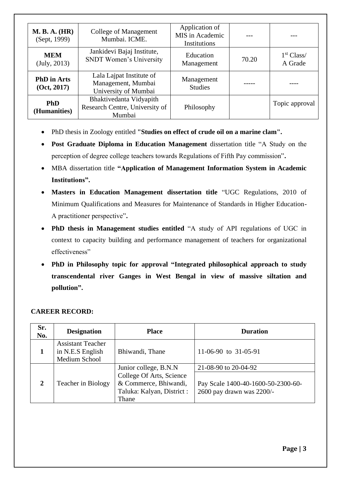| <b>M. B. A. (HR)</b><br>(Sept, 1999) | College of Management<br>Mumbai. ICME.                                 | Application of<br>MIS in Academic<br>Institutions |       |                                   |
|--------------------------------------|------------------------------------------------------------------------|---------------------------------------------------|-------|-----------------------------------|
| <b>MEM</b><br>(July, 2013)           | Jankidevi Bajaj Institute,<br><b>SNDT Women's University</b>           | Education<br>Management                           | 70.20 | 1 <sup>st</sup> Class/<br>A Grade |
| <b>PhD</b> in Arts<br>(Oct, 2017)    | Lala Lajpat Institute of<br>Management, Mumbai<br>University of Mumbai | Management<br><b>Studies</b>                      |       |                                   |
| <b>PhD</b><br>(Humanities)           | Bhaktivedanta Vidyapith<br>Research Centre, University of<br>Mumbai    | Philosophy                                        |       | Topic approval                    |

- PhD thesis in Zoology entitled **"Studies on effect of crude oil on a marine clam".**
- **Post Graduate Diploma in Education Management** dissertation title "A Study on the perception of degree college teachers towards Regulations of Fifth Pay commission"**.**
- MBA dissertation title **"Application of Management Information System in Academic Institutions".**
- **Masters in Education Management dissertation title** "UGC Regulations, 2010 of Minimum Qualifications and Measures for Maintenance of Standards in Higher Education-A practitioner perspective"**.**
- **PhD thesis in Management studies entitled** "A study of API regulations of UGC in context to capacity building and performance management of teachers for organizational effectiveness"
- **PhD in Philosophy topic for approval "Integrated philosophical approach to study transcendental river Ganges in West Bengal in view of massive siltation and pollution".**

## **CAREER RECORD:**

| Sr.<br>No.   | <b>Designation</b>                                            | <b>Place</b>                                                                             | <b>Duration</b>                                                 |
|--------------|---------------------------------------------------------------|------------------------------------------------------------------------------------------|-----------------------------------------------------------------|
|              | <b>Assistant Teacher</b><br>in N.E.S English<br>Medium School | Bhiwandi, Thane                                                                          | 11-06-90 to 31-05-91                                            |
|              |                                                               | Junior college, B.N.N.                                                                   | 21-08-90 to 20-04-92                                            |
| $\mathbf{2}$ | Teacher in Biology                                            | College Of Arts, Science<br>& Commerce, Bhiwandi,<br>Taluka: Kalyan, District :<br>Thane | Pay Scale 1400-40-1600-50-2300-60-<br>2600 pay drawn was 2200/- |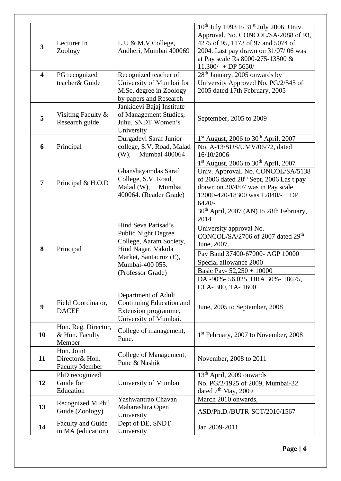| $\overline{\mathbf{3}}$ | Lecturer In<br>Zoology                                | L.U & M.V College,<br>Andheri, Mumbai 400069                                                                                                                         | $10^{th}$ July 1993 to 31 <sup>st</sup> July 2006. Univ.<br>Approval. No. CONCOL/SA/2088 of 93,<br>4275 of 95, 1173 of 97 and 5074 of<br>2004. Last pay drawn on 31/07/06 was<br>at Pay scale Rs 8000-275-13500 &<br>$11,300/-$ + DP 5650/-                                                                |
|-------------------------|-------------------------------------------------------|----------------------------------------------------------------------------------------------------------------------------------------------------------------------|------------------------------------------------------------------------------------------------------------------------------------------------------------------------------------------------------------------------------------------------------------------------------------------------------------|
| $\overline{\mathbf{4}}$ | PG recognized<br>teacher& Guide                       | Recognized teacher of<br>University of Mumbai for<br>M.Sc. degree in Zoology<br>by papers and Research                                                               | 28 <sup>th</sup> January, 2005 onwards by<br>University Approved No. PG/2/545 of<br>2005 dated 17th February, 2005                                                                                                                                                                                         |
| 5                       | Visiting Faculty &<br>Research guide                  | Jankidevi Bajaj Institute<br>of Management Studies,<br>Juhu, SNDT Women's<br>University                                                                              | September, 2005 to 2009                                                                                                                                                                                                                                                                                    |
| 6                       | Principal                                             | Durgadevi Saraf Junior<br>college, S.V. Road, Malad<br>Mumbai 400064<br>$(W)$ ,                                                                                      | $1st$ August, 2006 to 30 <sup>th</sup> April, 2007<br>No. A-13/SUS/UMV/06/72, dated<br>16/10/2006                                                                                                                                                                                                          |
| $\overline{7}$          | Principal & H.O.D                                     | Ghanshayamdas Saraf<br>College, S.V. Road,<br>$Malad(W)$ ,<br>Mumbai<br>400064. (Reader Grade)                                                                       | $1st$ August, 2006 to 30 <sup>th</sup> April, 2007<br>Univ. Approval. No. CONCOL/SA/5138<br>of 2006 dated 28 <sup>th</sup> Sept, 2006 Las t pay<br>drawn on 30/4/07 was in Pay scale<br>12000-420-18300 was $12840/-$ + DP<br>$6420/-$                                                                     |
| 8                       | Principal                                             | Hind Seva Parisad's<br><b>Public Night Degree</b><br>College, Aaram Society,<br>Hind Nagar, Vakola<br>Market, Santacruz (E),<br>Mumbai-400 055.<br>(Professor Grade) | 30 <sup>th</sup> April, 2007 (AN) to 28th February,<br>2014<br>University approval No.<br>CONCOL/SA/2706 of 2007 dated 29 <sup>th</sup><br>June, 2007.<br>Pay Band 37400-67000- AGP 10000<br>Special allowance 2000<br>Basic Pay- $52,250 + 10000$<br>DA -90%- 56,025, HRA 30%- 18675,<br>CLA-300, TA-1600 |
| 9                       | Field Coordinator,<br><b>DACEE</b>                    | Department of Adult<br>Continuing Education and<br>Extension programme,<br>University of Mumbai.                                                                     | June, 2005 to September, 2008                                                                                                                                                                                                                                                                              |
| 10                      | Hon. Reg. Director,<br>& Hon. Faculty<br>Member       | College of management,<br>Pune.                                                                                                                                      | 1 <sup>st</sup> February, 2007 to November, 2008                                                                                                                                                                                                                                                           |
| 11                      | Hon. Joint<br>Director& Hon.<br><b>Faculty Member</b> | College of Management,<br>Pune & Nashik                                                                                                                              | November, 2008 to 2011                                                                                                                                                                                                                                                                                     |
| 12                      | PhD recognized<br>Guide for<br>Education              | University of Mumbai                                                                                                                                                 | 13 <sup>th</sup> April, 2009 onwards<br>No. PG/2/1925 of 2009, Mumbai-32<br>dated $7th$ May, 2009                                                                                                                                                                                                          |
| 13                      | Recognized M Phil<br>Guide (Zoology)                  | Yashwantrao Chavan<br>Maharashtra Open<br>University                                                                                                                 | March 2010 onwards,<br>ASD/Ph.D./BUTR-SCT/2010/1567                                                                                                                                                                                                                                                        |
| 14                      | Faculty and Guide<br>in MA (education)                | Dept of DE, SNDT<br>University                                                                                                                                       | Jan 2009-2011                                                                                                                                                                                                                                                                                              |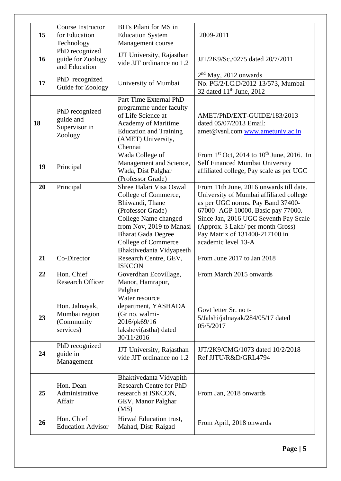| 15 | <b>Course Instructor</b><br>for Education<br>Technology    | BITs Pilani for MS in<br><b>Education System</b><br>Management course                                                                                                                                  | 2009-2011                                                                                                                                                                                                                                                                                            |
|----|------------------------------------------------------------|--------------------------------------------------------------------------------------------------------------------------------------------------------------------------------------------------------|------------------------------------------------------------------------------------------------------------------------------------------------------------------------------------------------------------------------------------------------------------------------------------------------------|
| 16 | PhD recognized<br>guide for Zoology<br>and Education       | JJT University, Rajasthan<br>vide JJT ordinance no 1.2                                                                                                                                                 | JJT/2K9/Sc./0275 dated 20/7/2011                                                                                                                                                                                                                                                                     |
| 17 | PhD recognized<br>Guide for Zoology                        | University of Mumbai                                                                                                                                                                                   | $2nd$ May, 2012 onwards<br>No. PG/2/I.C.D/2012-13/573, Mumbai-<br>32 dated $11th$ June, 2012                                                                                                                                                                                                         |
| 18 | PhD recognized<br>guide and<br>Supervisor in<br>Zoology    | Part Time External PhD<br>programme under faculty<br>of Life Science at<br>Academy of Maritime<br><b>Education and Training</b><br>(AMET) University,<br>Chennai                                       | AMET/PhD/EXT-GUIDE/183/2013<br>dated 05/07/2013 Email:<br>amet@vsnl.com www.ametuniv.ac.in                                                                                                                                                                                                           |
| 19 | Principal                                                  | Wada College of<br>Management and Science,<br>Wada, Dist Palghar<br>(Professor Grade)                                                                                                                  | From $1^{st}$ Oct, 2014 to $10^{th}$ June, 2016. In<br>Self Financed Mumbai University<br>affiliated college, Pay scale as per UGC                                                                                                                                                                   |
| 20 | Principal                                                  | Shree Halari Visa Oswal<br>College of Commerce,<br>Bhiwandi, Thane<br>(Professor Grade)<br>College Name changed<br>from Nov, 2019 to Manasi<br><b>Bharat Gada Degree</b><br><b>College of Commerce</b> | From 11th June, 2016 onwards till date.<br>University of Mumbai affiliated college<br>as per UGC norms. Pay Band 37400-<br>67000- AGP 10000, Basic pay 77000.<br>Since Jan, 2016 UGC Seventh Pay Scale<br>(Approx. 3 Lakh/ per month Gross)<br>Pay Matrix of 131400-217100 in<br>academic level 13-A |
| 21 | Co-Director                                                | Bhaktivedanta Vidyapeeth<br>Research Centre, GEV,<br><b>ISKCON</b>                                                                                                                                     | From June 2017 to Jan 2018                                                                                                                                                                                                                                                                           |
| 22 | Hon. Chief<br><b>Research Officer</b>                      | Goverdhan Ecovillage,<br>Manor, Hamrapur,<br>Palghar                                                                                                                                                   | From March 2015 onwards                                                                                                                                                                                                                                                                              |
| 23 | Hon. Jalnayak,<br>Mumbai region<br>(Community<br>services) | Water resource<br>department, YASHADA<br>(Gr no. walmi-<br>2016/pk69/16<br>lakshevi(astha) dated<br>30/11/2016                                                                                         | Govt letter Sr. no t-<br>5/Jalshi/jalnayak/284/05/17 dated<br>05/5/2017                                                                                                                                                                                                                              |
| 24 | PhD recognized<br>guide in<br>Management                   | JJT University, Rajasthan<br>vide JJT ordinance no 1.2                                                                                                                                                 | JJT/2K9/CMG/1073 dated 10/2/2018<br>Ref JJTU/R&D/GRL4794                                                                                                                                                                                                                                             |
| 25 | Hon. Dean<br>Administrative<br>Affair                      | Bhaktivedanta Vidyapith<br><b>Research Centre for PhD</b><br>research at ISKCON,<br>GEV, Manor Palghar<br>(MS)                                                                                         | From Jan, 2018 onwards                                                                                                                                                                                                                                                                               |
| 26 | Hon. Chief<br><b>Education Advisor</b>                     | Hirwal Education trust,<br>Mahad, Dist: Raigad                                                                                                                                                         | From April, 2018 onwards                                                                                                                                                                                                                                                                             |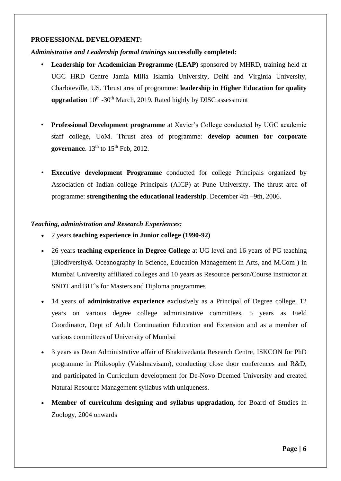### **PROFESSIONAL DEVELOPMENT:**

*Administrative and Leadership formal trainings* **successfully completed***:*

- **Leadership for Academician Programme (LEAP)** sponsored by MHRD, training held at UGC HRD Centre Jamia Milia Islamia University, Delhi and Virginia University, Charloteville, US. Thrust area of programme: **leadership in Higher Education for quality upgradation** 10<sup>th</sup> -30<sup>th</sup> March, 2019. Rated highly by DISC assessment
- **Professional Development programme** at Xavier's College conducted by UGC academic staff college, UoM. Thrust area of programme: **develop acumen for corporate governance**. 13<sup>th</sup> to 15<sup>th</sup> Feb, 2012.
- **Executive development Programme** conducted for college Principals organized by Association of Indian college Principals (AICP) at Pune University. The thrust area of programme: **strengthening the educational leadership**. December 4th –9th, 2006.

### *Teaching, administration and Research Experiences:*

- 2 years **teaching experience in Junior college (1990-92)**
- 26 years **teaching experience in Degree College** at UG level and 16 years of PG teaching (Biodiversity& Oceanography in Science, Education Management in Arts, and M.Com ) in Mumbai University affiliated colleges and 10 years as Resource person/Course instructor at SNDT and BIT`s for Masters and Diploma programmes
- 14 years of **administrative experience** exclusively as a Principal of Degree college, 12 years on various degree college administrative committees, 5 years as Field Coordinator, Dept of Adult Continuation Education and Extension and as a member of various committees of University of Mumbai
- 3 years as Dean Administrative affair of Bhaktivedanta Research Centre, ISKCON for PhD programme in Philosophy (Vaishnavisam), conducting close door conferences and R&D, and participated in Curriculum development for De-Novo Deemed University and created Natural Resource Management syllabus with uniqueness.
- **Member of curriculum designing and syllabus upgradation,** for Board of Studies in Zoology, 2004 onwards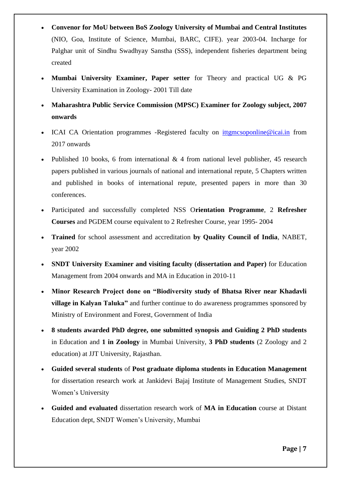- **Convenor for MoU between BoS Zoology University of Mumbai and Central Institutes**  (NIO, Goa, Institute of Science, Mumbai, BARC, CIFE). year 2003-04. Incharge for Palghar unit of Sindhu Swadhyay Sanstha (SSS), independent fisheries department being created
- **Mumbai University Examiner, Paper setter** for Theory and practical UG & PG University Examination in Zoology- 2001 Till date
- **Maharashtra Public Service Commission (MPSC) Examiner for Zoology subject, 2007 onwards**
- ICAI CA Orientation programmes -Registered faculty on [ittgmcsoponline@icai.in](mailto:ittgmcsoponline@icai.in) from 2017 onwards
- Published 10 books, 6 from international  $\&$  4 from national level publisher, 45 research papers published in various journals of national and international repute, 5 Chapters written and published in books of international repute, presented papers in more than 30 conferences.
- Participated and successfully completed NSS O**rientation Programme**, 2 **Refresher Courses** and PGDEM course equivalent to 2 Refresher Course, year 1995- 2004
- **Trained** for school assessment and accreditation **by Quality Council of India**, NABET, year 2002
- **SNDT University Examiner and visiting faculty (dissertation and Paper)** for Education Management from 2004 onwards and MA in Education in 2010-11
- **Minor Research Project done on "Biodiversity study of Bhatsa River near Khadavli village in Kalyan Taluka"** and further continue to do awareness programmes sponsored by Ministry of Environment and Forest, Government of India
- **8 students awarded PhD degree, one submitted synopsis and Guiding 2 PhD students** in Education and **1 in Zoology** in Mumbai University, **3 PhD students** (2 Zoology and 2 education) at JJT University, Rajasthan.
- **Guided several students** of **Post graduate diploma students in Education Management** for dissertation research work at Jankidevi Bajaj Institute of Management Studies, SNDT Women's University
- **Guided and evaluated** dissertation research work of **MA in Education** course at Distant Education dept, SNDT Women's University, Mumbai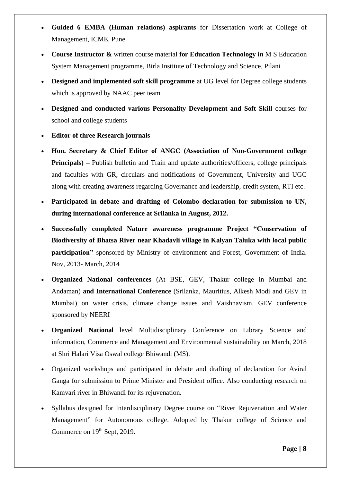- **Guided 6 EMBA (Human relations) aspirants** for Dissertation work at College of Management, ICME, Pune
- **Course Instructor &** written course material **for Education Technology in** M S Education System Management programme, Birla Institute of Technology and Science, Pilani
- **Designed and implemented soft skill programme** at UG level for Degree college students which is approved by NAAC peer team
- **Designed and conducted various Personality Development and Soft Skill** courses for school and college students
- **Editor of three Research journals**
- **Hon. Secretary & Chief Editor of ANGC (Association of Non-Government college Principals**) – Publish bulletin and Train and update authorities/officers, college principals and faculties with GR, circulars and notifications of Government, University and UGC along with creating awareness regarding Governance and leadership, credit system, RTI etc.
- **Participated in debate and drafting of Colombo declaration for submission to UN, during international conference at Srilanka in August, 2012.**
- **Successfully completed Nature awareness programme Project "Conservation of Biodiversity of Bhatsa River near Khadavli village in Kalyan Taluka with local public participation"** sponsored by Ministry of environment and Forest, Government of India. Nov, 2013- March, 2014
- **Organized National conferences** (At BSE, GEV, Thakur college in Mumbai and Andaman) **and International Conference** (Srilanka, Mauritius, Alkesh Modi and GEV in Mumbai) on water crisis, climate change issues and Vaishnavism. GEV conference sponsored by NEERI
- **Organized National** level Multidisciplinary Conference on Library Science and information, Commerce and Management and Environmental sustainability on March, 2018 at Shri Halari Visa Oswal college Bhiwandi (MS).
- Organized workshops and participated in debate and drafting of declaration for Aviral Ganga for submission to Prime Minister and President office. Also conducting research on Kamvari river in Bhiwandi for its rejuvenation.
- Syllabus designed for Interdisciplinary Degree course on "River Rejuvenation and Water Management" for Autonomous college. Adopted by Thakur college of Science and Commerce on 19<sup>th</sup> Sept, 2019.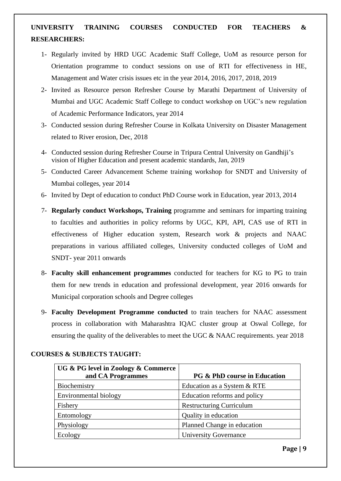# **UNIVERSITY TRAINING COURSES CONDUCTED FOR TEACHERS & RESEARCHERS:**

- 1- Regularly invited by HRD UGC Academic Staff College, UoM as resource person for Orientation programme to conduct sessions on use of RTI for effectiveness in HE, Management and Water crisis issues etc in the year 2014, 2016, 2017, 2018, 2019
- 2- Invited as Resource person Refresher Course by Marathi Department of University of Mumbai and UGC Academic Staff College to conduct workshop on UGC's new regulation of Academic Performance Indicators, year 2014
- 3- Conducted session during Refresher Course in Kolkata University on Disaster Management related to River erosion, Dec, 2018
- 4- Conducted session during Refresher Course in Tripura Central University on Gandhiji's vision of Higher Education and present academic standards, Jan, 2019
- 5- Conducted Career Advancement Scheme training workshop for SNDT and University of Mumbai colleges, year 2014
- 6- Invited by Dept of education to conduct PhD Course work in Education, year 2013, 2014
- 7- **Regularly conduct Workshops, Training** programme and seminars for imparting training to faculties and authorities in policy reforms by UGC, KPI, API, CAS use of RTI in effectiveness of Higher education system, Research work & projects and NAAC preparations in various affiliated colleges, University conducted colleges of UoM and SNDT- year 2011 onwards
- 8- **Faculty skill enhancement programmes** conducted for teachers for KG to PG to train them for new trends in education and professional development, year 2016 onwards for Municipal corporation schools and Degree colleges
- 9- **Faculty Development Programme conducted** to train teachers for NAAC assessment process in collaboration with Maharashtra IQAC cluster group at Oswal College, for ensuring the quality of the deliverables to meet the UGC & NAAC requirements. year 2018

| UG & PG level in Zoology & Commerce<br>and CA Programmes | <b>PG &amp; PhD course in Education</b> |
|----------------------------------------------------------|-----------------------------------------|
| Biochemistry                                             | Education as a System & RTE             |
| Environmental biology                                    | Education reforms and policy            |
| Fishery                                                  | <b>Restructuring Curriculum</b>         |
| Entomology                                               | Quality in education                    |
| Physiology                                               | Planned Change in education             |
| Ecology                                                  | <b>University Governance</b>            |

### **COURSES & SUBJECTS TAUGHT:**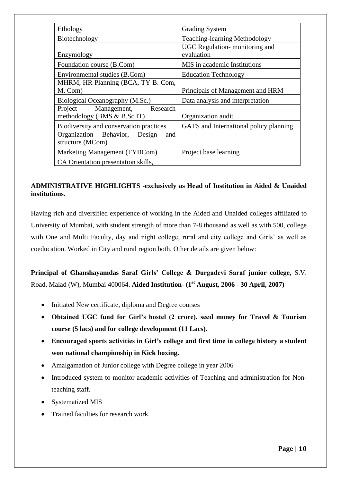| Ethology                                                            | <b>Grading System</b>                       |
|---------------------------------------------------------------------|---------------------------------------------|
| Biotechnology                                                       | <b>Teaching-learning Methodology</b>        |
| Enzymology                                                          | UGC Regulation-monitoring and<br>evaluation |
| Foundation course (B.Com)                                           | MIS in academic Institutions                |
| Environmental studies (B.Com)                                       | <b>Education Technology</b>                 |
| MHRM, HR Planning (BCA, TY B. Com,<br>M. Com)                       | Principals of Management and HRM            |
| Biological Oceanography (M.Sc.)                                     | Data analysis and interpretation            |
| Management,<br>Research<br>Project<br>methodology (BMS $&$ B.Sc.IT) | Organization audit                          |
| Biodiversity and conservation practices                             | GATS and International policy planning      |
| Organization Behavior, Design<br>and<br>structure (MCom)            |                                             |
| Marketing Management (TYBCom)                                       | Project base learning                       |
| CA Orientation presentation skills,                                 |                                             |

# **ADMINISTRATIVE HIGHLIGHTS -exclusively as Head of Institution in Aided & Unaided institutions.**

Having rich and diversified experience of working in the Aided and Unaided colleges affiliated to University of Mumbai, with student strength of more than 7-8 thousand as well as with 500, college with One and Multi Faculty, day and night college, rural and city college and Girls' as well as coeducation. Worked in City and rural region both. Other details are given below:

**Principal of Ghanshayamdas Saraf Girls' College & Durgadevi Saraf junior college,** S.V. Road, Malad (W), Mumbai 400064. **Aided Institution- (1st August, 2006 - 30 April, 2007)**

- Initiated New certificate, diploma and Degree courses
- **Obtained UGC fund for Girl's hostel (2 crore), seed money for Travel & Tourism course (5 lacs) and for college development (11 Lacs).**
- **Encouraged sports activities in Girl's college and first time in college history a student won national championship in Kick boxing.**
- Amalgamation of Junior college with Degree college in year 2006
- Introduced system to monitor academic activities of Teaching and administration for Nonteaching staff.
- Systematized MIS
- Trained faculties for research work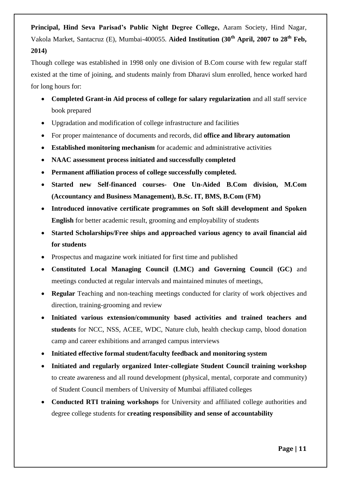**Principal, Hind Seva Parisad's Public Night Degree College,** Aaram Society, Hind Nagar, Vakola Market, Santacruz (E), Mumbai-400055. **Aided Institution (30th April, 2007 to 28th Feb, 2014)**

Though college was established in 1998 only one division of B.Com course with few regular staff existed at the time of joining, and students mainly from Dharavi slum enrolled, hence worked hard for long hours for:

- **Completed Grant-in Aid process of college for salary regularization** and all staff service book prepared
- Upgradation and modification of college infrastructure and facilities
- For proper maintenance of documents and records, did **office and library automation**
- **Established monitoring mechanism** for academic and administrative activities
- **NAAC assessment process initiated and successfully completed**
- **Permanent affiliation process of college successfully completed.**
- **Started new Self-financed courses- One Un-Aided B.Com division, M.Com (Accountancy and Business Management), B.Sc. IT, BMS, B.Com (FM)**
- **Introduced innovative certificate programmes on Soft skill development and Spoken English** for better academic result, grooming and employability of students
- **Started Scholarships/Free ships and approached various agency to avail financial aid for students**
- Prospectus and magazine work initiated for first time and published
- **Constituted Local Managing Council (LMC) and Governing Council (GC)** and meetings conducted at regular intervals and maintained minutes of meetings,
- **Regular** Teaching and non-teaching meetings conducted for clarity of work objectives and direction, training-grooming and review
- **Initiated various extension/community based activities and trained teachers and students** for NCC, NSS, ACEE, WDC, Nature club, health checkup camp, blood donation camp and career exhibitions and arranged campus interviews
- **Initiated effective formal student/faculty feedback and monitoring system**
- **Initiated and regularly organized Inter-collegiate Student Council training workshop** to create awareness and all round development (physical, mental, corporate and community) of Student Council members of University of Mumbai affiliated colleges
- **Conducted RTI training workshops** for University and affiliated college authorities and degree college students for **creating responsibility and sense of accountability**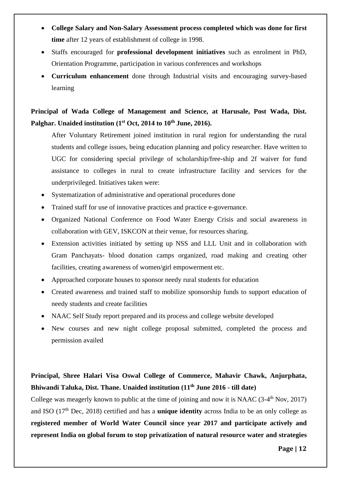- **College Salary and Non-Salary Assessment process completed which was done for first time** after 12 years of establishment of college in 1998.
- Staffs encouraged for **professional development initiatives** such as enrolment in PhD, Orientation Programme, participation in various conferences and workshops
- **Curriculum enhancement** done through Industrial visits and encouraging survey-based learning

# **Principal of Wada College of Management and Science, at Harusale, Post Wada, Dist. Palghar. Unaided institution (1st Oct, 2014 to 10th June, 2016).**

After Voluntary Retirement joined institution in rural region for understanding the rural students and college issues, being education planning and policy researcher. Have written to UGC for considering special privilege of scholarship/free-ship and 2f waiver for fund assistance to colleges in rural to create infrastructure facility and services for the underprivileged. Initiatives taken were:

- Systematization of administrative and operational procedures done
- Trained staff for use of innovative practices and practice e-governance.
- Organized National Conference on Food Water Energy Crisis and social awareness in collaboration with GEV, ISKCON at their venue, for resources sharing.
- Extension activities initiated by setting up NSS and LLL Unit and in collaboration with Gram Panchayats- blood donation camps organized, road making and creating other facilities, creating awareness of women/girl empowerment etc.
- Approached corporate houses to sponsor needy rural students for education
- Created awareness and trained staff to mobilize sponsorship funds to support education of needy students and create facilities
- NAAC Self Study report prepared and its process and college website developed
- New courses and new night college proposal submitted, completed the process and permission availed

# **Principal, Shree Halari Visa Oswal College of Commerce, Mahavir Chawk, Anjurphata, Bhiwandi Taluka, Dist. Thane. Unaided institution (11th June 2016 - till date)**

College was meagerly known to public at the time of joining and now it is NAAC  $(3-4<sup>th</sup> Nov, 2017)$ and ISO (17th Dec, 2018) certified and has a **unique identity** across India to be an only college as **registered member of World Water Council since year 2017 and participate actively and represent India on global forum to stop privatization of natural resource water and strategies**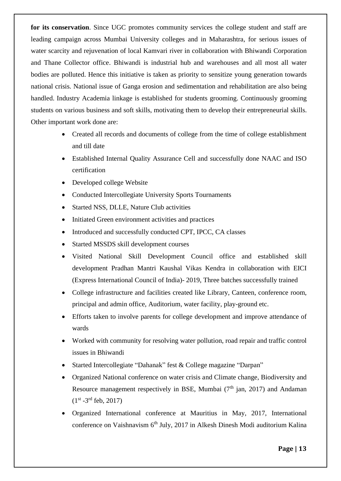**for its conservation**. Since UGC promotes community services the college student and staff are leading campaign across Mumbai University colleges and in Maharashtra, for serious issues of water scarcity and rejuvenation of local Kamvari river in collaboration with Bhiwandi Corporation and Thane Collector office. Bhiwandi is industrial hub and warehouses and all most all water bodies are polluted. Hence this initiative is taken as priority to sensitize young generation towards national crisis. National issue of Ganga erosion and sedimentation and rehabilitation are also being handled. Industry Academia linkage is established for students grooming. Continuously grooming students on various business and soft skills, motivating them to develop their entrepreneurial skills. Other important work done are:

- Created all records and documents of college from the time of college establishment and till date
- Established Internal Quality Assurance Cell and successfully done NAAC and ISO certification
- Developed college Website
- Conducted Intercollegiate University Sports Tournaments
- Started NSS, DLLE, Nature Club activities
- Initiated Green environment activities and practices
- Introduced and successfully conducted CPT, IPCC, CA classes
- Started MSSDS skill development courses
- Visited National Skill Development Council office and established skill development Pradhan Mantri Kaushal Vikas Kendra in collaboration with EICI (Express International Council of India)- 2019, Three batches successfully trained
- College infrastructure and facilities created like Library, Canteen, conference room, principal and admin office, Auditorium, water facility, play-ground etc.
- Efforts taken to involve parents for college development and improve attendance of wards
- Worked with community for resolving water pollution, road repair and traffic control issues in Bhiwandi
- Started Intercollegiate "Dahanak" fest & College magazine "Darpan"
- Organized National conference on water crisis and Climate change, Biodiversity and Resource management respectively in BSE, Mumbai  $(7<sup>th</sup>)$  jan, 2017) and Andaman  $(1^{st} - 3^{rd}$  feb, 2017)
- Organized International conference at Mauritius in May, 2017, International conference on Vaishnavism 6<sup>th</sup> July, 2017 in Alkesh Dinesh Modi auditorium Kalina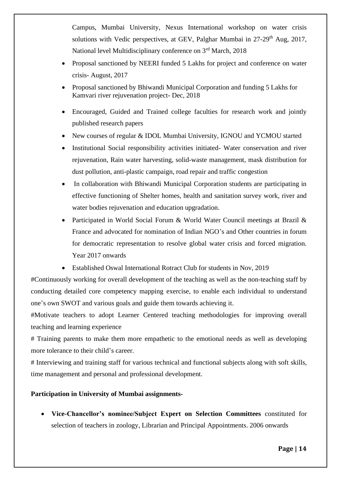Campus, Mumbai University, Nexus International workshop on water crisis solutions with Vedic perspectives, at GEV, Palghar Mumbai in 27-29<sup>th</sup> Aug, 2017, National level Multidisciplinary conference on 3rd March, 2018

- Proposal sanctioned by NEERI funded 5 Lakhs for project and conference on water crisis- August, 2017
- Proposal sanctioned by Bhiwandi Municipal Corporation and funding 5 Lakhs for Kamvari river rejuvenation project- Dec, 2018
- Encouraged, Guided and Trained college faculties for research work and jointly published research papers
- New courses of regular & IDOL Mumbai University, IGNOU and YCMOU started
- Institutional Social responsibility activities initiated- Water conservation and river rejuvenation, Rain water harvesting, solid-waste management, mask distribution for dust pollution, anti-plastic campaign, road repair and traffic congestion
- In collaboration with Bhiwandi Municipal Corporation students are participating in effective functioning of Shelter homes, health and sanitation survey work, river and water bodies rejuvenation and education upgradation.
- Participated in World Social Forum & World Water Council meetings at Brazil & France and advocated for nomination of Indian NGO's and Other countries in forum for democratic representation to resolve global water crisis and forced migration. Year 2017 onwards
- Established Oswal International Rotract Club for students in Nov, 2019

#Continuously working for overall development of the teaching as well as the non-teaching staff by conducting detailed core competency mapping exercise, to enable each individual to understand one's own SWOT and various goals and guide them towards achieving it.

#Motivate teachers to adopt Learner Centered teaching methodologies for improving overall teaching and learning experience

# Training parents to make them more empathetic to the emotional needs as well as developing more tolerance to their child's career.

# Interviewing and training staff for various technical and functional subjects along with soft skills, time management and personal and professional development.

# **Participation in University of Mumbai assignments-**

• **Vice-Chancellor's nominee/Subject Expert on Selection Committees** constituted for selection of teachers in zoology, Librarian and Principal Appointments. 2006 onwards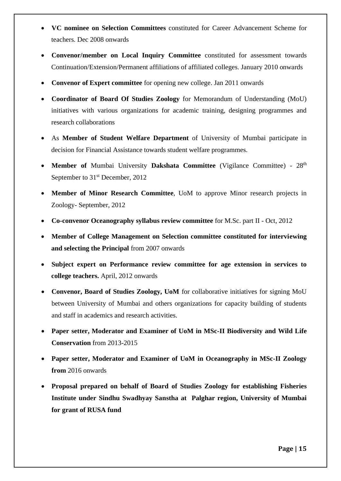- **VC nominee on Selection Committees** constituted for Career Advancement Scheme for teachers. Dec 2008 onwards
- **Convenor/member on Local Inquiry Committee** constituted for assessment towards Continuation/Extension/Permanent affiliations of affiliated colleges. January 2010 onwards
- **Convenor of Expert committee** for opening new college. Jan 2011 onwards
- **Coordinator of Board Of Studies Zoology** for Memorandum of Understanding (MoU) initiatives with various organizations for academic training, designing programmes and research collaborations
- As **Member of Student Welfare Department** of University of Mumbai participate in decision for Financial Assistance towards student welfare programmes.
- **Member of** Mumbai University **Dakshata Committee** (Vigilance Committee) 28<sup>th</sup> September to 31<sup>st</sup> December, 2012
- **Member of Minor Research Committee**, UoM to approve Minor research projects in Zoology- September, 2012
- **Co-convenor Oceanography syllabus review committee** for M.Sc. part II Oct, 2012
- **Member of College Management on Selection committee constituted for interviewing and selecting the Principal** from 2007 onwards
- **Subject expert on Performance review committee for age extension in services to college teachers.** April, 2012 onwards
- **Convenor, Board of Studies Zoology, UoM** for collaborative initiatives for signing MoU between University of Mumbai and others organizations for capacity building of students and staff in academics and research activities.
- **Paper setter, Moderator and Examiner of UoM in MSc-II Biodiversity and Wild Life Conservation** from 2013-2015
- **Paper setter, Moderator and Examiner of UoM in Oceanography in MSc-II Zoology from** 2016 onwards
- **Proposal prepared on behalf of Board of Studies Zoology for establishing Fisheries Institute under Sindhu Swadhyay Sanstha at Palghar region, University of Mumbai for grant of RUSA fund**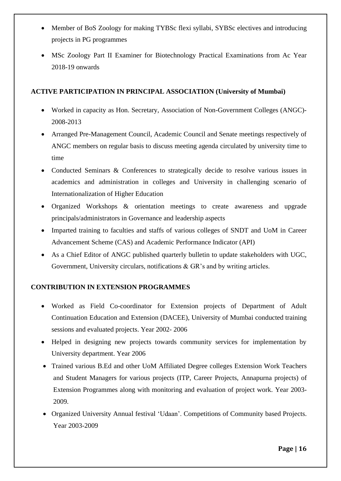- Member of BoS Zoology for making TYBSc flexi syllabi, SYBSc electives and introducing projects in PG programmes
- MSc Zoology Part II Examiner for Biotechnology Practical Examinations from Ac Year 2018-19 onwards

## **ACTIVE PARTICIPATION IN PRINCIPAL ASSOCIATION (University of Mumbai)**

- Worked in capacity as Hon. Secretary, Association of Non-Government Colleges (ANGC)- 2008-2013
- Arranged Pre-Management Council, Academic Council and Senate meetings respectively of ANGC members on regular basis to discuss meeting agenda circulated by university time to time
- Conducted Seminars & Conferences to strategically decide to resolve various issues in academics and administration in colleges and University in challenging scenario of Internationalization of Higher Education
- Organized Workshops & orientation meetings to create awareness and upgrade principals/administrators in Governance and leadership aspects
- Imparted training to faculties and staffs of various colleges of SNDT and UoM in Career Advancement Scheme (CAS) and Academic Performance Indicator (API)
- As a Chief Editor of ANGC published quarterly bulletin to update stakeholders with UGC, Government, University circulars, notifications & GR's and by writing articles.

# **CONTRIBUTION IN EXTENSION PROGRAMMES**

- Worked as Field Co-coordinator for Extension projects of Department of Adult Continuation Education and Extension (DACEE), University of Mumbai conducted training sessions and evaluated projects. Year 2002- 2006
- Helped in designing new projects towards community services for implementation by University department. Year 2006
- Trained various B.Ed and other UoM Affiliated Degree colleges Extension Work Teachers and Student Managers for various projects (ITP, Career Projects, Annapurna projects) of Extension Programmes along with monitoring and evaluation of project work. Year 2003- 2009.
- Organized University Annual festival 'Udaan'. Competitions of Community based Projects. Year 2003-2009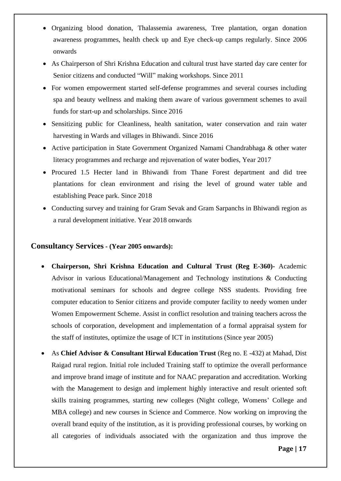- Organizing blood donation, Thalassemia awareness, Tree plantation, organ donation awareness programmes, health check up and Eye check-up camps regularly. Since 2006 onwards
- As Chairperson of Shri Krishna Education and cultural trust have started day care center for Senior citizens and conducted "Will" making workshops. Since 2011
- For women empowerment started self-defense programmes and several courses including spa and beauty wellness and making them aware of various government schemes to avail funds for start-up and scholarships. Since 2016
- Sensitizing public for Cleanliness, health sanitation, water conservation and rain water harvesting in Wards and villages in Bhiwandi. Since 2016
- Active participation in State Government Organized Namami Chandrabhaga & other water literacy programmes and recharge and rejuvenation of water bodies, Year 2017
- Procured 1.5 Hecter land in Bhiwandi from Thane Forest department and did tree plantations for clean environment and rising the level of ground water table and establishing Peace park. Since 2018
- Conducting survey and training for Gram Sevak and Gram Sarpanchs in Bhiwandi region as a rural development initiative. Year 2018 onwards

### **Consultancy Services - (Year 2005 onwards):**

- **Chairperson, Shri Krishna Education and Cultural Trust (Reg E-360)-** Academic Advisor in various Educational/Management and Technology institutions & Conducting motivational seminars for schools and degree college NSS students. Providing free computer education to Senior citizens and provide computer facility to needy women under Women Empowerment Scheme. Assist in conflict resolution and training teachers across the schools of corporation, development and implementation of a formal appraisal system for the staff of institutes, optimize the usage of ICT in institutions (Since year 2005)
- As **Chief Advisor & Consultant Hirwal Education Trust** (Reg no. E -432) at Mahad, Dist Raigad rural region. Initial role included Training staff to optimize the overall performance and improve brand image of institute and for NAAC preparation and accreditation. Working with the Management to design and implement highly interactive and result oriented soft skills training programmes, starting new colleges (Night college, Womens' College and MBA college) and new courses in Science and Commerce. Now working on improving the overall brand equity of the institution, as it is providing professional courses, by working on all categories of individuals associated with the organization and thus improve the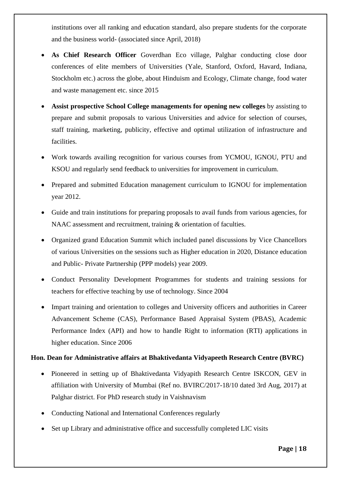institutions over all ranking and education standard, also prepare students for the corporate and the business world- (associated since April, 2018)

- **As Chief Research Officer** Goverdhan Eco village, Palghar conducting close door conferences of elite members of Universities (Yale, Stanford, Oxford, Havard, Indiana, Stockholm etc.) across the globe, about Hinduism and Ecology, Climate change, food water and waste management etc. since 2015
- **Assist prospective School College managements for opening new colleges** by assisting to prepare and submit proposals to various Universities and advice for selection of courses, staff training, marketing, publicity, effective and optimal utilization of infrastructure and facilities.
- Work towards availing recognition for various courses from YCMOU, IGNOU, PTU and KSOU and regularly send feedback to universities for improvement in curriculum.
- Prepared and submitted Education management curriculum to IGNOU for implementation year 2012.
- Guide and train institutions for preparing proposals to avail funds from various agencies, for NAAC assessment and recruitment, training & orientation of faculties.
- Organized grand Education Summit which included panel discussions by Vice Chancellors of various Universities on the sessions such as Higher education in 2020, Distance education and Public- Private Partnership (PPP models) year 2009.
- Conduct Personality Development Programmes for students and training sessions for teachers for effective teaching by use of technology. Since 2004
- Impart training and orientation to colleges and University officers and authorities in Career Advancement Scheme (CAS), Performance Based Appraisal System (PBAS), Academic Performance Index (API) and how to handle Right to information (RTI) applications in higher education. Since 2006

## **Hon. Dean for Administrative affairs at Bhaktivedanta Vidyapeeth Research Centre (BVRC)**

- Pioneered in setting up of Bhaktivedanta Vidyapith Research Centre ISKCON, GEV in affiliation with University of Mumbai (Ref no. BVIRC/2017-18/10 dated 3rd Aug, 2017) at Palghar district. For PhD research study in Vaishnavism
- Conducting National and International Conferences regularly
- Set up Library and administrative office and successfully completed LIC visits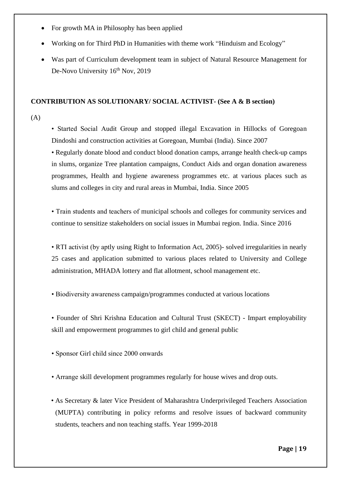- For growth MA in Philosophy has been applied
- Working on for Third PhD in Humanities with theme work "Hinduism and Ecology"
- Was part of Curriculum development team in subject of Natural Resource Management for De-Novo University  $16^{th}$  Nov, 2019

#### **CONTRIBUTION AS SOLUTIONARY/ SOCIAL ACTIVIST- (See A & B section)**

 $(A)$ 

• Started Social Audit Group and stopped illegal Excavation in Hillocks of Goregoan Dindoshi and construction activities at Goregoan, Mumbai (India). Since 2007

• Regularly donate blood and conduct blood donation camps, arrange health check-up camps in slums, organize Tree plantation campaigns, Conduct Aids and organ donation awareness programmes, Health and hygiene awareness programmes etc. at various places such as slums and colleges in city and rural areas in Mumbai, India. Since 2005

• Train students and teachers of municipal schools and colleges for community services and continue to sensitize stakeholders on social issues in Mumbai region. India. Since 2016

• RTI activist (by aptly using Right to Information Act, 2005)- solved irregularities in nearly 25 cases and application submitted to various places related to University and College administration, MHADA lottery and flat allotment, school management etc.

• Biodiversity awareness campaign/programmes conducted at various locations

• Founder of Shri Krishna Education and Cultural Trust (SKECT) - Impart employability skill and empowerment programmes to girl child and general public

• Sponsor Girl child since 2000 onwards

• Arrange skill development programmes regularly for house wives and drop outs.

• As Secretary & later Vice President of Maharashtra Underprivileged Teachers Association (MUPTA) contributing in policy reforms and resolve issues of backward community students, teachers and non teaching staffs. Year 1999-2018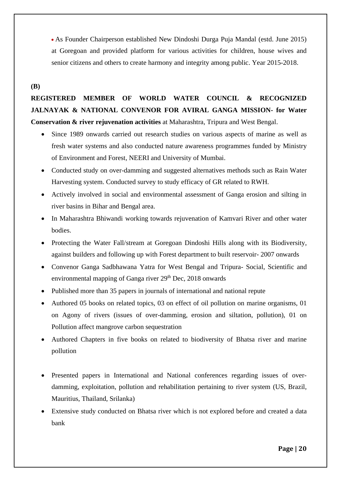• As Founder Chairperson established New Dindoshi Durga Puja Mandal (estd. June 2015) at Goregoan and provided platform for various activities for children, house wives and senior citizens and others to create harmony and integrity among public. Year 2015-2018.

### **(B)**

# **REGISTERED MEMBER OF WORLD WATER COUNCIL & RECOGNIZED JALNAYAK & NATIONAL CONVENOR FOR AVIRAL GANGA MISSION- for Water Conservation & river rejuvenation activities** at Maharashtra, Tripura and West Bengal.

- Since 1989 onwards carried out research studies on various aspects of marine as well as fresh water systems and also conducted nature awareness programmes funded by Ministry of Environment and Forest, NEERI and University of Mumbai.
- Conducted study on over-damming and suggested alternatives methods such as Rain Water Harvesting system. Conducted survey to study efficacy of GR related to RWH.
- Actively involved in social and environmental assessment of Ganga erosion and silting in river basins in Bihar and Bengal area.
- In Maharashtra Bhiwandi working towards rejuvenation of Kamvari River and other water bodies.
- Protecting the Water Fall/stream at Goregoan Dindoshi Hills along with its Biodiversity, against builders and following up with Forest department to built reservoir- 2007 onwards
- Convenor Ganga Sadbhawana Yatra for West Bengal and Tripura- Social, Scientific and environmental mapping of Ganga river  $29<sup>th</sup>$  Dec, 2018 onwards
- Published more than 35 papers in journals of international and national repute
- Authored 05 books on related topics, 03 on effect of oil pollution on marine organisms, 01 on Agony of rivers (issues of over-damming, erosion and siltation, pollution), 01 on Pollution affect mangrove carbon sequestration
- Authored Chapters in five books on related to biodiversity of Bhatsa river and marine pollution
- Presented papers in International and National conferences regarding issues of overdamming, exploitation, pollution and rehabilitation pertaining to river system (US, Brazil, Mauritius, Thailand, Srilanka)
- Extensive study conducted on Bhatsa river which is not explored before and created a data bank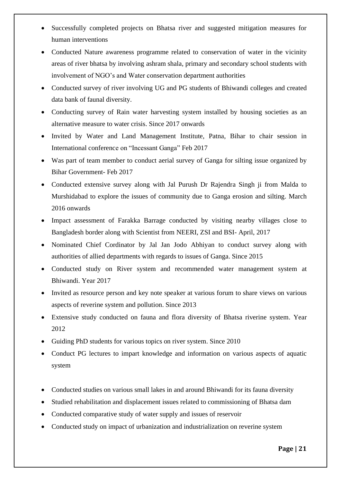- Successfully completed projects on Bhatsa river and suggested mitigation measures for human interventions
- Conducted Nature awareness programme related to conservation of water in the vicinity areas of river bhatsa by involving ashram shala, primary and secondary school students with involvement of NGO's and Water conservation department authorities
- Conducted survey of river involving UG and PG students of Bhiwandi colleges and created data bank of faunal diversity.
- Conducting survey of Rain water harvesting system installed by housing societies as an alternative measure to water crisis. Since 2017 onwards
- Invited by Water and Land Management Institute, Patna, Bihar to chair session in International conference on "Incessant Ganga" Feb 2017
- Was part of team member to conduct aerial survey of Ganga for silting issue organized by Bihar Government- Feb 2017
- Conducted extensive survey along with Jal Purush Dr Rajendra Singh ji from Malda to Murshidabad to explore the issues of community due to Ganga erosion and silting. March 2016 onwards
- Impact assessment of Farakka Barrage conducted by visiting nearby villages close to Bangladesh border along with Scientist from NEERI, ZSI and BSI- April, 2017
- Nominated Chief Cordinator by Jal Jan Jodo Abhiyan to conduct survey along with authorities of allied departments with regards to issues of Ganga. Since 2015
- Conducted study on River system and recommended water management system at Bhiwandi. Year 2017
- Invited as resource person and key note speaker at various forum to share views on various aspects of reverine system and pollution. Since 2013
- Extensive study conducted on fauna and flora diversity of Bhatsa riverine system. Year 2012
- Guiding PhD students for various topics on river system. Since 2010
- Conduct PG lectures to impart knowledge and information on various aspects of aquatic system
- Conducted studies on various small lakes in and around Bhiwandi for its fauna diversity
- Studied rehabilitation and displacement issues related to commissioning of Bhatsa dam
- Conducted comparative study of water supply and issues of reservoir
- Conducted study on impact of urbanization and industrialization on reverine system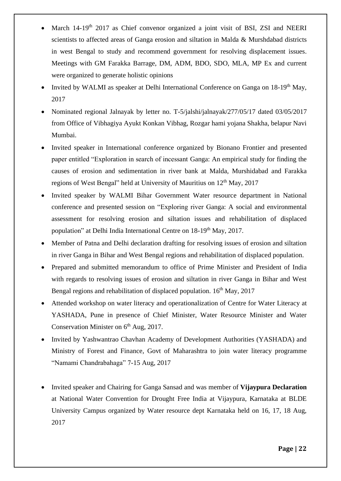- March 14-19<sup>th</sup> 2017 as Chief convenor organized a joint visit of BSI, ZSI and NEERI scientists to affected areas of Ganga erosion and siltation in Malda & Murshdabad districts in west Bengal to study and recommend government for resolving displacement issues. Meetings with GM Farakka Barrage, DM, ADM, BDO, SDO, MLA, MP Ex and current were organized to generate holistic opinions
- Invited by WALMI as speaker at Delhi International Conference on Ganga on 18-19<sup>th</sup> May, 2017
- Nominated regional Jalnayak by letter no. T-5/jalshi/jalnayak/277/05/17 dated 03/05/2017 from Office of Vibhagiya Ayukt Konkan Vibhag, Rozgar hami yojana Shakha, belapur Navi Mumbai.
- Invited speaker in International conference organized by Bionano Frontier and presented paper entitled "Exploration in search of incessant Ganga: An empirical study for finding the causes of erosion and sedimentation in river bank at Malda, Murshidabad and Farakka regions of West Bengal" held at University of Mauritius on 12<sup>th</sup> May, 2017
- Invited speaker by WALMI Bihar Government Water resource department in National conference and presented session on "Exploring river Ganga: A social and environmental assessment for resolving erosion and siltation issues and rehabilitation of displaced population" at Delhi India International Centre on 18-19<sup>th</sup> May, 2017.
- Member of Patna and Delhi declaration drafting for resolving issues of erosion and siltation in river Ganga in Bihar and West Bengal regions and rehabilitation of displaced population.
- Prepared and submitted memorandum to office of Prime Minister and President of India with regards to resolving issues of erosion and siltation in river Ganga in Bihar and West Bengal regions and rehabilitation of displaced population. 16<sup>th</sup> May, 2017
- Attended workshop on water literacy and operationalization of Centre for Water Literacy at YASHADA, Pune in presence of Chief Minister, Water Resource Minister and Water Conservation Minister on  $6<sup>th</sup>$  Aug, 2017.
- Invited by Yashwantrao Chavhan Academy of Development Authorities (YASHADA) and Ministry of Forest and Finance, Govt of Maharashtra to join water literacy programme "Namami Chandrabahaga" 7-15 Aug, 2017
- Invited speaker and Chairing for Ganga Sansad and was member of **Vijaypura Declaration** at National Water Convention for Drought Free India at Vijaypura, Karnataka at BLDE University Campus organized by Water resource dept Karnataka held on 16, 17, 18 Aug, 2017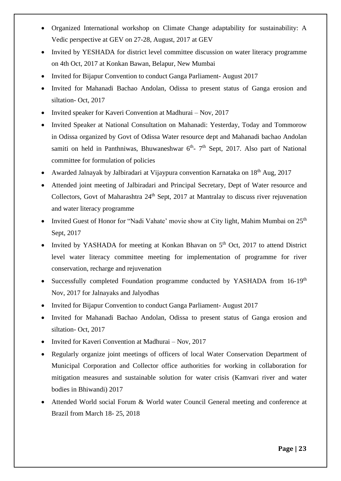- Organized International workshop on Climate Change adaptability for sustainability: A Vedic perspective at GEV on 27-28, August, 2017 at GEV
- Invited by YESHADA for district level committee discussion on water literacy programme on 4th Oct, 2017 at Konkan Bawan, Belapur, New Mumbai
- Invited for Bijapur Convention to conduct Ganga Parliament- August 2017
- Invited for Mahanadi Bachao Andolan, Odissa to present status of Ganga erosion and siltation- Oct, 2017
- Invited speaker for Kaveri Convention at Madhurai Nov, 2017
- Invited Speaker at National Consultation on Mahanadi: Yesterday, Today and Tommorow in Odissa organized by Govt of Odissa Water resource dept and Mahanadi bachao Andolan samiti on held in Panthniwas, Bhuwaneshwar  $6<sup>th</sup>$ - 7<sup>th</sup> Sept, 2017. Also part of National committee for formulation of policies
- Awarded Jalnayak by Jalbiradari at Vijaypura convention Karnataka on 18th Aug, 2017
- Attended joint meeting of Jalbiradari and Principal Secretary, Dept of Water resource and Collectors, Govt of Maharashtra 24<sup>th</sup> Sept, 2017 at Mantralay to discuss river rejuvenation and water literacy programme
- Invited Guest of Honor for "Nadi Vahate' movie show at City light, Mahim Mumbai on 25<sup>th</sup> Sept, 2017
- Invited by YASHADA for meeting at Konkan Bhavan on  $5<sup>th</sup>$  Oct, 2017 to attend District level water literacy committee meeting for implementation of programme for river conservation, recharge and rejuvenation
- Successfully completed Foundation programme conducted by YASHADA from 16-19<sup>th</sup> Nov, 2017 for Jalnayaks and Jalyodhas
- Invited for Bijapur Convention to conduct Ganga Parliament- August 2017
- Invited for Mahanadi Bachao Andolan, Odissa to present status of Ganga erosion and siltation- Oct, 2017
- Invited for Kaveri Convention at Madhurai Nov, 2017
- Regularly organize joint meetings of officers of local Water Conservation Department of Municipal Corporation and Collector office authorities for working in collaboration for mitigation measures and sustainable solution for water crisis (Kamvari river and water bodies in Bhiwandi) 2017
- Attended World social Forum & World water Council General meeting and conference at Brazil from March 18- 25, 2018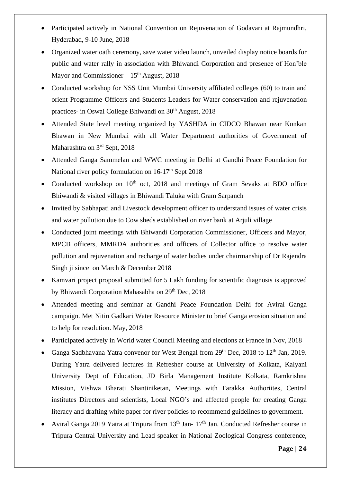- Participated actively in National Convention on Rejuvenation of Godavari at Rajmundhri, Hyderabad, 9-10 June, 2018
- Organized water oath ceremony, save water video launch, unveiled display notice boards for public and water rally in association with Bhiwandi Corporation and presence of Hon'ble Mayor and Commissioner  $-15<sup>th</sup>$  August, 2018
- Conducted workshop for NSS Unit Mumbai University affiliated colleges (60) to train and orient Programme Officers and Students Leaders for Water conservation and rejuvenation practices- in Oswal College Bhiwandi on 30<sup>th</sup> August, 2018
- Attended State level meeting organized by YASHDA in CIDCO Bhawan near Konkan Bhawan in New Mumbai with all Water Department authorities of Government of Maharashtra on 3<sup>rd</sup> Sept, 2018
- Attended Ganga Sammelan and WWC meeting in Delhi at Gandhi Peace Foundation for National river policy formulation on  $16-17<sup>th</sup>$  Sept 2018
- Conducted workshop on 10<sup>th</sup> oct, 2018 and meetings of Gram Sevaks at BDO office Bhiwandi & visited villages in Bhiwandi Taluka with Gram Sarpanch
- Invited by Sabhapati and Livestock development officer to understand issues of water crisis and water pollution due to Cow sheds extablished on river bank at Arjuli village
- Conducted joint meetings with Bhiwandi Corporation Commissioner, Officers and Mayor, MPCB officers, MMRDA authorities and officers of Collector office to resolve water pollution and rejuvenation and recharge of water bodies under chairmanship of Dr Rajendra Singh ji since on March & December 2018
- Kamvari project proposal submitted for 5 Lakh funding for scientific diagnosis is approved by Bhiwandi Corporation Mahasabha on 29<sup>th</sup> Dec, 2018
- Attended meeting and seminar at Gandhi Peace Foundation Delhi for Aviral Ganga campaign. Met Nitin Gadkari Water Resource Minister to brief Ganga erosion situation and to help for resolution. May, 2018
- Participated actively in World water Council Meeting and elections at France in Nov, 2018
- Ganga Sadbhavana Yatra convenor for West Bengal from 29<sup>th</sup> Dec, 2018 to 12<sup>th</sup> Jan, 2019. During Yatra delivered lectures in Refresher course at University of Kolkata, Kalyani University Dept of Education, JD Birla Management Institute Kolkata, Ramkrishna Mission, Vishwa Bharati Shantiniketan, Meetings with Farakka Authoriites, Central institutes Directors and scientists, Local NGO's and affected people for creating Ganga literacy and drafting white paper for river policies to recommend guidelines to government.
- Aviral Ganga 2019 Yatra at Tripura from  $13<sup>th</sup>$  Jan-  $17<sup>th</sup>$  Jan. Conducted Refresher course in Tripura Central University and Lead speaker in National Zoological Congress conference,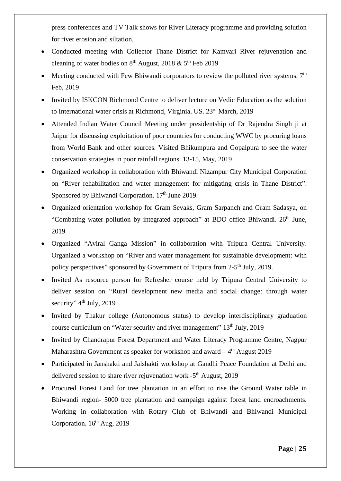press conferences and TV Talk shows for River Literacy programme and providing solution for river erosion and siltation.

- Conducted meeting with Collector Thane District for Kamvari River rejuvenation and cleaning of water bodies on  $8<sup>th</sup>$  August, 2018 &  $5<sup>th</sup>$  Feb 2019
- Meeting conducted with Few Bhiwandi corporators to review the polluted river systems.  $7<sup>th</sup>$ Feb, 2019
- Invited by ISKCON Richmond Centre to deliver lecture on Vedic Education as the solution to International water crisis at Richmond, Virginia. US. 23<sup>rd</sup> March, 2019
- Attended Indian Water Council Meeting under presidentship of Dr Rajendra Singh ji at Jaipur for discussing exploitation of poor countries for conducting WWC by procuring loans from World Bank and other sources. Visited Bhikumpura and Gopalpura to see the water conservation strategies in poor rainfall regions. 13-15, May, 2019
- Organized workshop in collaboration with Bhiwandi Nizampur City Municipal Corporation on "River rehabilitation and water management for mitigating crisis in Thane District". Sponsored by Bhiwandi Corporation.  $17<sup>th</sup>$  June 2019.
- Organized orientation workshop for Gram Sevaks, Gram Sarpanch and Gram Sadasya, on "Combating water pollution by integrated approach" at BDO office Bhiwandi. 26<sup>th</sup> June, 2019
- Organized "Aviral Ganga Mission" in collaboration with Tripura Central University. Organized a workshop on "River and water management for sustainable development: with policy perspectives" sponsored by Government of Tripura from 2-5<sup>th</sup> July, 2019.
- Invited As resource person for Refresher course held by Tripura Central University to deliver session on "Rural development new media and social change: through water security" 4<sup>th</sup> July, 2019
- Invited by Thakur college (Autonomous status) to develop interdisciplinary graduation course curriculum on "Water security and river management" 13<sup>th</sup> July, 2019
- Invited by Chandrapur Forest Department and Water Literacy Programme Centre, Nagpur Maharashtra Government as speaker for workshop and award  $-4<sup>th</sup>$  August 2019
- Participated in Janshakti and Jalshakti workshop at Gandhi Peace Foundation at Delhi and delivered session to share river rejuvenation work  $-5<sup>th</sup>$  August, 2019
- Procured Forest Land for tree plantation in an effort to rise the Ground Water table in Bhiwandi region- 5000 tree plantation and campaign against forest land encroachments. Working in collaboration with Rotary Club of Bhiwandi and Bhiwandi Municipal Corporation.  $16^{th}$  Aug, 2019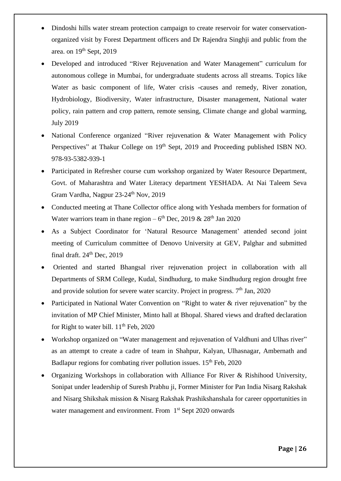- Dindoshi hills water stream protection campaign to create reservoir for water conservationorganized visit by Forest Department officers and Dr Rajendra Singhji and public from the area. on 19<sup>th</sup> Sept, 2019
- Developed and introduced "River Rejuvenation and Water Management" curriculum for autonomous college in Mumbai, for undergraduate students across all streams. Topics like Water as basic component of life, Water crisis -causes and remedy, River zonation, Hydrobiology, Biodiversity, Water infrastructure, Disaster management, National water policy, rain pattern and crop pattern, remote sensing, Climate change and global warming, July 2019
- National Conference organized "River rejuvenation & Water Management with Policy Perspectives" at Thakur College on 19<sup>th</sup> Sept, 2019 and Proceeding published ISBN NO. 978-93-5382-939-1
- Participated in Refresher course cum workshop organized by Water Resource Department, Govt. of Maharashtra and Water Literacy department YESHADA. At Nai Taleem Seva Gram Vardha, Nagpur  $23-24^{\text{th}}$  Nov,  $2019$
- Conducted meeting at Thane Collector office along with Yeshada members for formation of Water warriors team in thane region  $-6<sup>th</sup>$  Dec, 2019 & 28<sup>th</sup> Jan 2020
- As a Subject Coordinator for 'Natural Resource Management' attended second joint meeting of Curriculum committee of Denovo University at GEV, Palghar and submitted final draft.  $24<sup>th</sup>$  Dec,  $2019$
- Oriented and started Bhangsal river rejuvenation project in collaboration with all Departments of SRM College, Kudal, Sindhudurg, to make Sindhudurg region drought free and provide solution for severe water scarcity. Project in progress.  $7<sup>th</sup>$  Jan, 2020
- Participated in National Water Convention on "Right to water & river rejuvenation" by the invitation of MP Chief Minister, Minto hall at Bhopal. Shared views and drafted declaration for Right to water bill.  $11<sup>th</sup>$  Feb, 2020
- Workshop organized on "Water management and rejuvenation of Valdhuni and Ulhas river" as an attempt to create a cadre of team in Shahpur, Kalyan, Ulhasnagar, Ambernath and Badlapur regions for combating river pollution issues.  $15<sup>th</sup>$  Feb, 2020
- Organizing Workshops in collaboration with Alliance For River & Rishihood University, Sonipat under leadership of Suresh Prabhu ji, Former Minister for Pan India Nisarg Rakshak and Nisarg Shikshak mission & Nisarg Rakshak Prashikshanshala for career opportunities in water management and environment. From 1<sup>st</sup> Sept 2020 onwards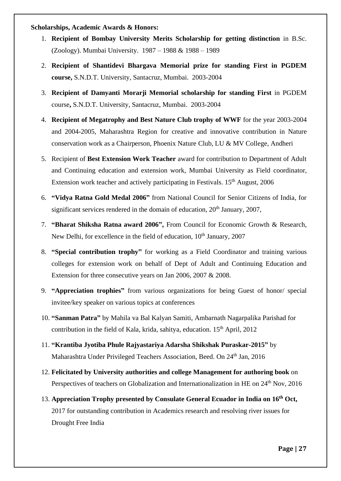#### **Scholarships, Academic Awards & Honors:**

- 1. **Recipient of Bombay University Merits Scholarship for getting distinction** in B.Sc. (Zoology). Mumbai University. 1987 – 1988 & 1988 – 1989
- 2. **Recipient of Shantidevi Bhargava Memorial prize for standing First in PGDEM course,** S.N.D.T. University, Santacruz, Mumbai. 2003-2004
- 3. **Recipient of Damyanti Morarji Memorial scholarship for standing First** in PGDEM course**,** S.N.D.T. University, Santacruz, Mumbai. 2003-2004
- 4. **Recipient of Megatrophy and Best Nature Club trophy of WWF** for the year 2003-2004 and 2004-2005, Maharashtra Region for creative and innovative contribution in Nature conservation work as a Chairperson, Phoenix Nature Club, LU & MV College, Andheri
- 5. Recipient of **Best Extension Work Teacher** award for contribution to Department of Adult and Continuing education and extension work, Mumbai University as Field coordinator, Extension work teacher and actively participating in Festivals. 15<sup>th</sup> August, 2006
- 6. **"Vidya Ratna Gold Medal 2006"** from National Council for Senior Citizens of India, for significant services rendered in the domain of education,  $20<sup>th</sup>$  January, 2007,
- 7. **"Bharat Shiksha Ratna award 2006",** From Council for Economic Growth & Research, New Delhi, for excellence in the field of education, 10<sup>th</sup> January, 2007
- 8. **"Special contribution trophy"** for working as a Field Coordinator and training various colleges for extension work on behalf of Dept of Adult and Continuing Education and Extension for three consecutive years on Jan 2006, 2007 & 2008.
- 9. **"Appreciation trophies"** from various organizations for being Guest of honor/ special invitee/key speaker on various topics at conferences
- 10. **"Sanman Patra"** by Mahila va Bal Kalyan Samiti, Ambarnath Nagarpalika Parishad for contribution in the field of Kala, krida, sahitya, education.  $15<sup>th</sup>$  April, 2012
- 11. **"Krantiba Jyotiba Phule Rajyastariya Adarsha Shikshak Puraskar-2015"** by Maharashtra Under Privileged Teachers Association, Beed. On 24<sup>th</sup> Jan, 2016
- 12. **Felicitated by University authorities and college Management for authoring book** on Perspectives of teachers on Globalization and Internationalization in HE on 24<sup>th</sup> Nov, 2016
- 13. **Appreciation Trophy presented by Consulate General Ecuador in India on 16th Oct,**  2017 for outstanding contribution in Academics research and resolving river issues for Drought Free India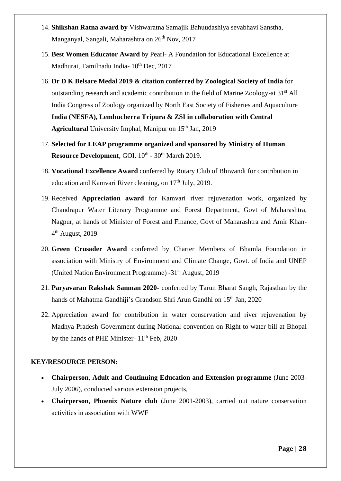- 14. **Shikshan Ratna award by** Vishwaratna Samajik Bahuudashiya sevabhavi Sanstha, Manganyal, Sangali, Maharashtra on 26<sup>th</sup> Nov, 2017
- 15. **Best Women Educator Award** by Pearl- A Foundation for Educational Excellence at Madhurai, Tamilnadu India-  $10^{th}$  Dec, 2017
- 16. **Dr D K Belsare Medal 2019 & citation conferred by Zoological Society of India** for outstanding research and academic contribution in the field of Marine Zoology-at 31<sup>st</sup> All India Congress of Zoology organized by North East Society of Fisheries and Aquaculture **India (NESFA), Lembucherra Tripura & ZSI in collaboration with Central Agricultural** University Imphal, Manipur on 15<sup>th</sup> Jan, 2019
- 17. **Selected for LEAP programme organized and sponsored by Ministry of Human**  Resource Development, GOI. 10<sup>th</sup> - 30<sup>th</sup> March 2019.
- 18. **Vocational Excellence Award** conferred by Rotary Club of Bhiwandi for contribution in education and Kamvari River cleaning, on 17<sup>th</sup> July, 2019.
- 19. Received **Appreciation award** for Kamvari river rejuvenation work, organized by Chandrapur Water Literacy Programme and Forest Department, Govt of Maharashtra, Nagpur, at hands of Minister of Forest and Finance, Govt of Maharashtra and Amir Khan-4<sup>th</sup> August, 2019
- 20. **Green Crusader Award** conferred by Charter Members of Bhamla Foundation in association with Ministry of Environment and Climate Change, Govt. of India and UNEP (United Nation Environment Programme) -31st August, 2019
- 21. **Paryavaran Rakshak Sanman 2020** conferred by Tarun Bharat Sangh, Rajasthan by the hands of Mahatma Gandhiji's Grandson Shri Arun Gandhi on 15<sup>th</sup> Jan, 2020
- 22. Appreciation award for contribution in water conservation and river rejuvenation by Madhya Pradesh Government during National convention on Right to water bill at Bhopal by the hands of PHE Minister- 11<sup>th</sup> Feb, 2020

### **KEY/RESOURCE PERSON:**

- **Chairperson**, **Adult and Continuing Education and Extension programme** (June 2003- July 2006), conducted various extension projects,
- **Chairperson**, **Phoenix Nature club** (June 2001-2003), carried out nature conservation activities in association with WWF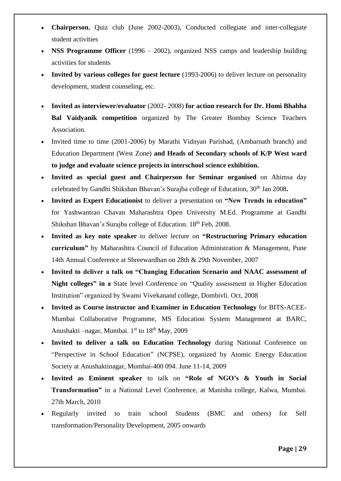- **Chairperson**, Quiz club (June 2002-2003), Conducted collegiate and inter-collegiate student activities
- **NSS Programme Officer** (1996 2002), organized NSS camps and leadership building activities for students
- **Invited by various colleges for guest lecture** (1993-2006) to deliver lecture on personality development, student counseling, etc.
- **Invited as interviewer/evaluator** (2002- 2008) **for action research for Dr. Homi Bhabha Bal Vaidyanik competition** organized by The Greater Bombay Science Teachers Association.
- Invited time to time (2001-2006) by Marathi Vidnyan Parishad, (Ambarnath branch) and Education Department (West Zone) **and Heads of Secondary schools of K/P West ward to judge and evaluate science projects in interschool science exhibition.**
- **Invited as special guest and Chairperson for Seminar organised** on Ahimsa day celebrated by Gandhi Shikshan Bhavan's Surajba college of Education, 30<sup>th</sup> Jan 2008.
- **Invited as Expert Educationist** to deliver a presentation on **"New Trends in education"** for Yashwantrao Chavan Maharashtra Open University M.Ed. Programme at Gandhi Shikshan Bhavan's Surajba college of Education. 18th Feb, 2008.
- **Invited as key note speaker** to deliver lecture on **"Restructuring Primary education curriculum"** by Maharashtra Council of Education Administration & Management, Pune 14th Annual Conference at Shreewardhan on 28th & 29th November, 2007
- **Invited to deliver a talk on "Changing Education Scenario and NAAC assessment of Night colleges" in a** State level Conference on "Quality assessment in Higher Education Institution" organized by Swami Vivekanand college, Dombivli. Oct, 2008
- **Invited as Course instructor and Examiner in Education Technology** for BITS-ACEE-Mumbai Collaborative Programme, MS Education System Management at BARC, Anushakti –nagar, Mumbai.  $1<sup>st</sup>$  to  $18<sup>th</sup>$  May, 2009
- **Invited to deliver a talk on Education Technology during National Conference on** "Perspective in School Education" (NCPSE), organized by Atomic Energy Education Society at Anushaktinagar, Mumbai-400 094. June 11-14, 2009
- **Invited as Eminent speaker** to talk on **"Role of NGO's & Youth in Social Transformation"** in a National Level Conference, at Manisha college, Kalwa, Mumbai. 27th March, 2010
- Regularly invited to train school Students (BMC and others) for Self transformation/Personality Development, 2005 onwards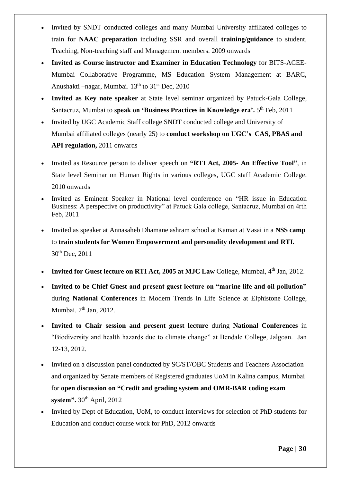- Invited by SNDT conducted colleges and many Mumbai University affiliated colleges to train for **NAAC preparation** including SSR and overall **training/guidance** to student, Teaching, Non-teaching staff and Management members. 2009 onwards
- **Invited as Course instructor and Examiner in Education Technology** for BITS-ACEE-Mumbai Collaborative Programme, MS Education System Management at BARC, Anushakti –nagar, Mumbai.  $13<sup>th</sup>$  to  $31<sup>st</sup>$  Dec, 2010
- **Invited as Key note speaker** at State level seminar organized by Patuck-Gala College, Santacruz, Mumbai to speak on 'Business Practices in Knowledge era'. 5<sup>th</sup> Feb, 2011
- Invited by UGC Academic Staff college SNDT conducted college and University of Mumbai affiliated colleges (nearly 25) to **conduct workshop on UGC's CAS, PBAS and API regulation,** 2011 onwards
- Invited as Resource person to deliver speech on **"RTI Act, 2005- An Effective Tool"**, in State level Seminar on Human Rights in various colleges, UGC staff Academic College. 2010 onwards
- Invited as Eminent Speaker in National level conference on "HR issue in Education Business: A perspective on productivity" at Patuck Gala college, Santacruz, Mumbai on 4rth Feb, 2011
- Invited as speaker at Annasaheb Dhamane ashram school at Kaman at Vasai in a **NSS camp** to **train students for Women Empowerment and personality development and RTI.** 30th Dec, 2011
- **Invited for Guest lecture on RTI Act, 2005 at MJC Law College, Mumbai, 4<sup>th</sup> Jan, 2012.**
- **Invited to be Chief Guest and present guest lecture on "marine life and oil pollution"** during **National Conferences** in Modern Trends in Life Science at Elphistone College, Mumbai. 7<sup>th</sup> Jan, 2012.
- **Invited to Chair session and present guest lecture** during **National Conferences** in "Biodiversity and health hazards due to climate change" at Bendale College, Jalgoan. Jan 12-13, 2012.
- Invited on a discussion panel conducted by SC/ST/OBC Students and Teachers Association and organized by Senate members of Registered graduates UoM in Kalina campus, Mumbai for **open discussion on "Credit and grading system and OMR-BAR coding exam system".** 30<sup>th</sup> April, 2012
- Invited by Dept of Education, UoM, to conduct interviews for selection of PhD students for Education and conduct course work for PhD, 2012 onwards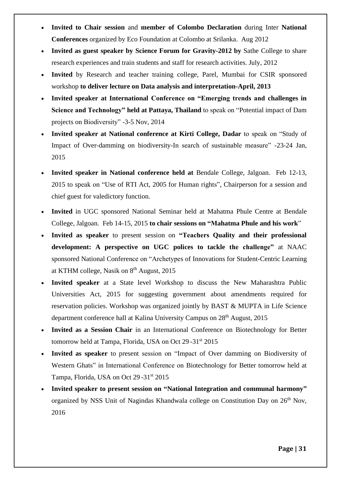- **Invited to Chair session** and **member of Colombo Declaration** during Inter **National Conferences** organized by Eco Foundation at Colombo at Srilanka. Aug 2012
- **Invited as guest speaker by Science Forum for Gravity-2012 by** Sathe College to share research experiences and train students and staff for research activities. July, 2012
- **Invited** by Research and teacher training college, Parel, Mumbai for CSIR sponsored workshop **to deliver lecture on Data analysis and interpretation-April, 2013**
- **Invited speaker at International Conference on "Emerging trends and challenges in Science and Technology" held at Pattaya, Thailand** to speak on "Potential impact of Dam projects on Biodiversity" -3-5 Nov, 2014
- **Invited speaker at National conference at Kirti College, Dadar** to speak on "Study of Impact of Over-damming on biodiversity-In search of sustainable measure" -23-24 Jan, 2015
- **Invited speaker in National conference held at** Bendale College, Jalgoan. Feb 12-13, 2015 to speak on "Use of RTI Act, 2005 for Human rights", Chairperson for a session and chief guest for valedictory function.
- **Invited** in UGC sponsored National Seminar held at Mahatma Phule Centre at Bendale College, Jalgoan. Feb 14-15, 2015 **to chair sessions on "Mahatma Phule and his work**"
- **Invited as speaker** to present session on **"Teachers Quality and their professional development: A perspective on UGC polices to tackle the challenge"** at NAAC sponsored National Conference on "Archetypes of Innovations for Student-Centric Learning at KTHM college, Nasik on 8<sup>th</sup> August, 2015
- **Invited speaker** at a State level Workshop to discuss the New Maharashtra Public Universities Act, 2015 for suggesting government about amendments required for reservation policies. Workshop was organized jointly by BAST & MUPTA in Life Science department conference hall at Kalina University Campus on 28<sup>th</sup> August, 2015
- **Invited as a Session Chair** in an International Conference on Biotechnology for Better tomorrow held at Tampa, Florida, USA on Oct 29 -31<sup>st</sup> 2015
- **Invited as speaker** to present session on "Impact of Over damming on Biodiversity of Western Ghats" in International Conference on Biotechnology for Better tomorrow held at Tampa, Florida, USA on Oct 29 -31<sup>st</sup> 2015
- **Invited speaker to present session on "National Integration and communal harmony"** organized by NSS Unit of Nagindas Khandwala college on Constitution Day on 26th Nov, 2016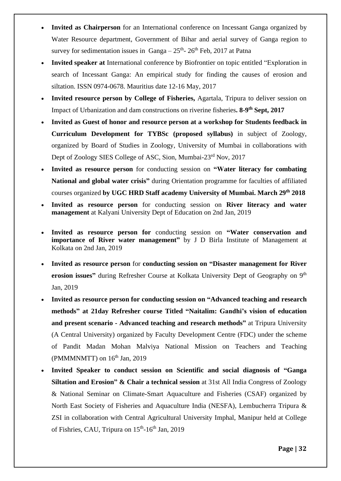- **Invited as Chairperson** for an International conference on Incessant Ganga organized by Water Resource department, Government of Bihar and aerial survey of Ganga region to survey for sedimentation issues in  $Ganga - 25<sup>th</sup> - 26<sup>th</sup> Feb$ , 2017 at Patna
- **Invited speaker at** International conference by Biofrontier on topic entitled "Exploration in search of Incessant Ganga: An empirical study for finding the causes of erosion and siltation. ISSN 0974-0678. Mauritius date 12-16 May, 2017
- **Invited resource person by College of Fisheries, Agartala, Tripura to deliver session on** Impact of Urbanization and dam constructions on riverine fisheries. 8-9<sup>th</sup> Sept, 2017
- **Invited as Guest of honor and resource person at a workshop for Students feedback in Curriculum Development for TYBSc (proposed syllabus)** in subject of Zoology, organized by Board of Studies in Zoology, University of Mumbai in collaborations with Dept of Zoology SIES College of ASC, Sion, Mumbai-23rd Nov, 2017
- **Invited as resource person** for conducting session on **"Water literacy for combating National and global water crisis"** during Orientation programme for faculties of affiliated courses organized **by UGC HRD Staff academy University of Mumbai. March 29 th 2018**
- **Invited as resource person** for conducting session on **River literacy and water management** at Kalyani University Dept of Education on 2nd Jan, 2019
- **Invited as resource person for** conducting session on **"Water conservation and importance of River water management"** by J D Birla Institute of Management at Kolkata on 2nd Jan, 2019
- **Invited as resource person** for **conducting session on "Disaster management for River erosion issues"** during Refresher Course at Kolkata University Dept of Geography on 9<sup>th</sup> Jan, 2019
- **Invited as resource person for conducting session on "Advanced teaching and research methods" at 21day Refresher course Titled "Naitalim: Gandhi's vision of education and present scenario - Advanced teaching and research methods"** at Tripura University (A Central University) organized by Faculty Development Centre (FDC) under the scheme of Pandit Madan Mohan Malviya National Mission on Teachers and Teaching (PMMMNMTT) on  $16<sup>th</sup>$  Jan, 2019
- **Invited Speaker to conduct session on Scientific and social diagnosis of "Ganga Siltation and Erosion" & Chair a technical session** at 31st All India Congress of Zoology & National Seminar on Climate-Smart Aquaculture and Fisheries (CSAF) organized by North East Society of Fisheries and Aquaculture India (NESFA), Lembucherra Tripura & ZSI in collaboration with Central Agricultural University Imphal, Manipur held at College of Fishries, CAU, Tripura on 15<sup>th</sup>-16<sup>th</sup> Jan, 2019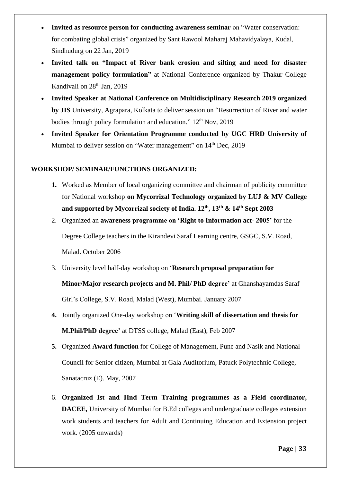- **Invited as resource person for conducting awareness seminar** on "Water conservation: for combating global crisis" organized by Sant Rawool Maharaj Mahavidyalaya, Kudal, Sindhudurg on 22 Jan, 2019
- **Invited talk on "Impact of River bank erosion and silting and need for disaster management policy formulation"** at National Conference organized by Thakur College Kandivali on 28<sup>th</sup> Jan, 2019
- **Invited Speaker at National Conference on Multidisciplinary Research 2019 organized by JIS** University, Agrapara, Kolkata to deliver session on "Resurrection of River and water bodies through policy formulation and education."  $12<sup>th</sup>$  Nov, 2019
- **Invited Speaker for Orientation Programme conducted by UGC HRD University of**  Mumbai to deliver session on "Water management" on 14<sup>th</sup> Dec, 2019

## **WORKSHOP/ SEMINAR/FUNCTIONS ORGANIZED:**

- **1.** Worked as Member of local organizing committee and chairman of publicity committee for National workshop **on Mycorrizal Technology organized by LUJ & MV College and supported by Mycorrizal society of India. 12th, 13th & 14th Sept 2003**
- 2. Organized an **awareness programme on 'Right to Information act- 2005'** for the Degree College teachers in the Kirandevi Saraf Learning centre, GSGC, S.V. Road, Malad. October 2006
- 3. University level half-day workshop on '**Research proposal preparation for**

**Minor/Major research projects and M. Phil/ PhD degree'** at Ghanshayamdas Saraf Girl's College, S.V. Road, Malad (West), Mumbai. January 2007

- **4.** Jointly organized One-day workshop on '**Writing skill of dissertation and thesis for M.Phil/PhD degree'** at DTSS college, Malad (East), Feb 2007
- **5.** Organized **Award function** for College of Management, Pune and Nasik and National Council for Senior citizen, Mumbai at Gala Auditorium, Patuck Polytechnic College, Sanatacruz (E). May, 2007
- 6. **Organized Ist and IInd Term Training programmes as a Field coordinator, DACEE,** University of Mumbai for B.Ed colleges and undergraduate colleges extension work students and teachers for Adult and Continuing Education and Extension project work. (2005 onwards)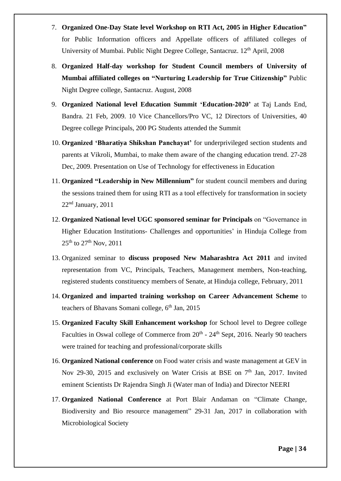- 7. **Organized One-Day State level Workshop on RTI Act, 2005 in Higher Education"**  for Public Information officers and Appellate officers of affiliated colleges of University of Mumbai. Public Night Degree College, Santacruz. 12<sup>th</sup> April, 2008
- 8. **Organized Half-day workshop for Student Council members of University of Mumbai affiliated colleges on "Nurturing Leadership for True Citizenship"** Public Night Degree college, Santacruz. August, 2008
- 9. **Organized National level Education Summit 'Education-2020'** at Taj Lands End, Bandra. 21 Feb, 2009. 10 Vice Chancellors/Pro VC, 12 Directors of Universities, 40 Degree college Principals, 200 PG Students attended the Summit
- 10. **Organized 'Bharatiya Shikshan Panchayat'** for underprivileged section students and parents at Vikroli, Mumbai, to make them aware of the changing education trend. 27-28 Dec, 2009. Presentation on Use of Technology for effectiveness in Education
- 11. **Organized "Leadership in New Millennium"** for student council members and during the sessions trained them for using RTI as a tool effectively for transformation in society 22nd January, 2011
- 12. **Organized National level UGC sponsored seminar for Principals** on "Governance in Higher Education Institutions- Challenges and opportunities' in Hinduja College from  $25^{th}$  to  $27^{th}$  Nov,  $2011$
- 13. Organized seminar to **discuss proposed New Maharashtra Act 2011** and invited representation from VC, Principals, Teachers, Management members, Non-teaching, registered students constituency members of Senate, at Hinduja college, February, 2011
- 14. **Organized and imparted training workshop on Career Advancement Scheme** to teachers of Bhavans Somani college,  $6<sup>th</sup>$  Jan, 2015
- 15. **Organized Faculty Skill Enhancement workshop** for School level to Degree college Faculties in Oswal college of Commerce from  $20<sup>th</sup>$  -  $24<sup>th</sup>$  Sept, 2016. Nearly 90 teachers were trained for teaching and professional/corporate skills
- 16. **Organized National conference** on Food water crisis and waste management at GEV in Nov 29-30, 2015 and exclusively on Water Crisis at BSE on  $7<sup>th</sup>$  Jan, 2017. Invited eminent Scientists Dr Rajendra Singh Ji (Water man of India) and Director NEERI
- 17. **Organized National Conference** at Port Blair Andaman on "Climate Change, Biodiversity and Bio resource management" 29-31 Jan, 2017 in collaboration with Microbiological Society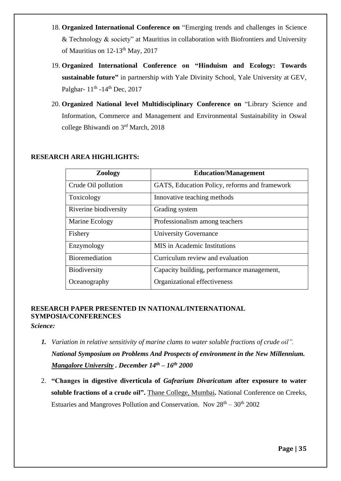- 18. **Organized International Conference on** "Emerging trends and challenges in Science & Technology & society" at Mauritius in collaboration with Biofrontiers and University of Mauritius on  $12-13^{th}$  May,  $2017$
- 19. **Organized International Conference on "Hinduism and Ecology: Towards sustainable future"** in partnership with Yale Divinity School, Yale University at GEV, Palghar-  $11<sup>th</sup>$  -14<sup>th</sup> Dec, 2017
- 20. **Organized National level Multidisciplinary Conference on** "Library Science and Information, Commerce and Management and Environmental Sustainability in Oswal college Bhiwandi on 3rd March, 2018

## **RESEARCH AREA HIGHLIGHTS:**

| <b>Zoology</b>        | <b>Education/Management</b>                   |
|-----------------------|-----------------------------------------------|
| Crude Oil pollution   | GATS, Education Policy, reforms and framework |
| Toxicology            | Innovative teaching methods                   |
| Riverine biodiversity | Grading system                                |
| Marine Ecology        | Professionalism among teachers                |
| Fishery               | <b>University Governance</b>                  |
| Enzymology            | <b>MIS</b> in Academic Institutions           |
| <b>Bioremediation</b> | Curriculum review and evaluation              |
| Biodiversity          | Capacity building, performance management,    |
| Oceanography          | Organizational effectiveness                  |

## **RESEARCH PAPER PRESENTED IN NATIONAL/INTERNATIONAL SYMPOSIA/CONFERENCES**

*Science:*

- *1. Variation in relative sensitivity of marine clams to water soluble fractions of crude oil". National Symposium on Problems And Prospects of environment in the New Millennium. Mangalore University . December 14th – 16th 2000*
- 2. **"Changes in digestive diverticula of** *Gafrarium Divaricatum* **after exposure to water soluble fractions of a crude oil".** Thane College, Mumbai**.** National Conference on Creeks, Estuaries and Mangroves Pollution and Conservation. Nov  $28<sup>th</sup> - 30<sup>th</sup> 2002$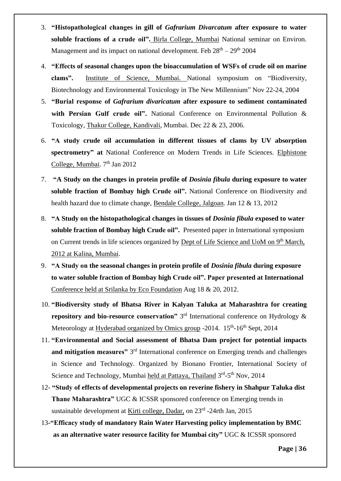- 3. **"Histopathological changes in gill of** *Gafrarium Divarcatum* **after exposure to water soluble fractions of a crude oil".** Birla College, Mumbai National seminar on Environ. Management and its impact on national development. Feb  $28<sup>th</sup> - 29<sup>th</sup> 2004$
- 4. **"Effects of seasonal changes upon the bioaccumulation of WSFs of crude oil on marine clams".** Institute of Science, Mumbai. National symposium on "Biodiversity, Biotechnology and Environmental Toxicology in The New Millennium" Nov 22-24, 2004
- 5. **"Burial response of** *Gafrarium divaricatum* **after exposure to sediment contaminated with Persian Gulf crude oil".** National Conference on Environmental Pollution & Toxicology, Thakur College, Kandivali, Mumbai. Dec 22 & 23, 2006.
- 6. **"A study crude oil accumulation in different tissues of clams by UV absorption spectrometry" at** National Conference on Modern Trends in Life Sciences. Elphistone College, Mumbai. 7<sup>th</sup> Jan 2012
- 7. **"A Study on the changes in protein profile of** *Dosinia fibula* **during exposure to water soluble fraction of Bombay high Crude oil".** National Conference on Biodiversity and health hazard due to climate change, Bendale College, Jalgoan. Jan 12 & 13, 2012
- 8. **"A Study on the histopathological changes in tissues of** *Dosinia fibula* **exposed to water soluble fraction of Bombay high Crude oil".** Presented paper in International symposium on Current trends in life sciences organized by Dept of Life Science and UoM on 9<sup>th</sup> March, 2012 at Kalina, Mumbai.
- 9. **"A Study on the seasonal changes in protein profile of** *Dosinia fibula* **during exposure to water soluble fraction of Bombay high Crude oil". Paper presented at International** Conference held at Srilanka by Eco Foundation Aug 18 & 20, 2012.
- 10. **"Biodiversity study of Bhatsa River in Kalyan Taluka at Maharashtra for creating repository and bio-resource conservation"** 3 rd International conference on Hydrology & Meteorology at Hyderabad organized by Omics group -2014. 15<sup>th</sup>-16<sup>th</sup> Sept, 2014
- 11. **"Environmental and Social assessment of Bhatsa Dam project for potential impacts**  and mitigation measures" 3<sup>rd</sup> International conference on Emerging trends and challenges in Science and Technology. Organized by Bionano Frontier, International Society of Science and Technology, Mumbai held at Pattaya, Thailand 3rd-5<sup>th</sup> Nov, 2014
- 12- **"Study of effects of developmental projects on reverine fishery in Shahpur Taluka dist Thane Maharashtra"** UGC & ICSSR sponsored conference on Emerging trends in sustainable development at Kirti college, Dadar, on 23<sup>rd</sup> -24rth Jan, 2015
	- 13**-"Efficacy study of mandatory Rain Water Harvesting policy implementation by BMC as an alternative water resource facility for Mumbai city"** UGC & ICSSR sponsored

**Page | 36**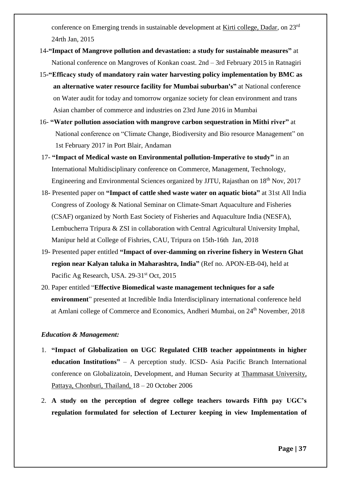conference on Emerging trends in sustainable development at Kirti college, Dadar, on 23<sup>rd</sup> 24rth Jan, 2015

- 14**-"Impact of Mangrove pollution and devastation: a study for sustainable measures"** at National conference on Mangroves of Konkan coast. 2nd – 3rd February 2015 in Ratnagiri
- 15**-"Efficacy study of mandatory rain water harvesting policy implementation by BMC as an alternative water resource facility for Mumbai suburban's"** at National conference on Water audit for today and tomorrow organize society for clean environment and trans Asian chamber of commerce and industries on 23rd June 2016 in Mumbai
- 16- **"Water pollution association with mangrove carbon sequestration in Mithi river"** at National conference on "Climate Change, Biodiversity and Bio resource Management" on 1st February 2017 in Port Blair, Andaman
- 17- **"Impact of Medical waste on Environmental pollution-Imperative to study"** in an International Multidisciplinary conference on Commerce, Management, Technology, Engineering and Environmental Sciences organized by JJTU, Rajasthan on 18th Nov, 2017
- 18- Presented paper on **"Impact of cattle shed waste water on aquatic biota"** at 31st All India Congress of Zoology & National Seminar on Climate-Smart Aquaculture and Fisheries (CSAF) organized by North East Society of Fisheries and Aquaculture India (NESFA), Lembucherra Tripura & ZSI in collaboration with Central Agricultural University Imphal, Manipur held at College of Fishries, CAU, Tripura on 15th-16th Jan, 2018
- 19- Presented paper entitled **"Impact of over-damming on riverine fishery in Western Ghat region near Kalyan taluka in Maharashtra, India"** (Ref no. APON-EB-04), held at Pacific Ag Research, USA. 29-31<sup>st</sup> Oct, 2015
- 20. Paper entitled "**Effective Biomedical waste management techniques for a safe environment**" presented at Incredible India Interdisciplinary international conference held at Amlani college of Commerce and Economics, Andheri Mumbai, on 24<sup>th</sup> November, 2018

### *Education & Management:*

- 1. **"Impact of Globalization on UGC Regulated CHB teacher appointments in higher education Institutions"** – A perception study. ICSD- Asia Pacific Branch International conference on Globalizatoin, Development, and Human Security at Thammasat University, Pattaya, Chonburi, Thailand, 18 – 20 October 2006
- 2. **A study on the perception of degree college teachers towards Fifth pay UGC's regulation formulated for selection of Lecturer keeping in view Implementation of**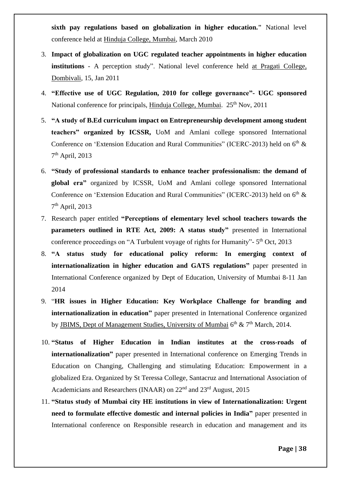**sixth pay regulations based on globalization in higher education."** National level conference held at Hinduja College, Mumbai, March 2010

- 3. **Impact of globalization on UGC regulated teacher appointments in higher education institutions** - A perception study". National level conference held at Pragati College, Dombivali, 15, Jan 2011
- 4. **"Effective use of UGC Regulation, 2010 for college governance"- UGC sponsored**  National conference for principals, Hinduja College, Mumbai. 25<sup>th</sup> Nov, 2011
- 5. **"A study of B.Ed curriculum impact on Entrepreneurship development among student teachers" organized by ICSSR,** UoM and Amlani college sponsored International Conference on 'Extension Education and Rural Communities" (ICERC-2013) held on  $6<sup>th</sup>$  & 7<sup>th</sup> April, 2013
- 6. **"Study of professional standards to enhance teacher professionalism: the demand of global era"** organized by ICSSR, UoM and Amlani college sponsored International Conference on 'Extension Education and Rural Communities" (ICERC-2013) held on  $6<sup>th</sup>$  & 7<sup>th</sup> April, 2013
- 7. Research paper entitled **"Perceptions of elementary level school teachers towards the parameters outlined in RTE Act, 2009: A status study"** presented in International conference proceedings on "A Turbulent voyage of rights for Humanity"- 5<sup>th</sup> Oct, 2013
- 8. **"A status study for educational policy reform: In emerging context of internationalization in higher education and GATS regulations"** paper presented in International Conference organized by Dept of Education, University of Mumbai 8-11 Jan 2014
- 9. "**HR issues in Higher Education: Key Workplace Challenge for branding and internationalization in education"** paper presented in International Conference organized by JBIMS, Dept of Management Studies, University of Mumbai 6<sup>th</sup> & 7<sup>th</sup> March, 2014.
- 10. **"Status of Higher Education in Indian institutes at the cross-roads of internationalization"** paper presented in International conference on Emerging Trends in Education on Changing, Challenging and stimulating Education: Empowerment in a globalized Era. Organized by St Teressa College, Santacruz and International Association of Academicians and Researchers (INAAR) on 22nd and 23rd August, 2015
- 11. **"Status study of Mumbai city HE institutions in view of Internationalization: Urgent need to formulate effective domestic and internal policies in India"** paper presented in International conference on Responsible research in education and management and its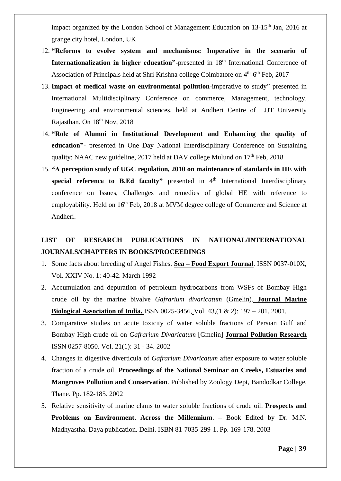impact organized by the London School of Management Education on  $13{\text -}15^{\text{th}}$  Jan, 2016 at grange city hotel, London, UK

- 12. **"Reforms to evolve system and mechanisms: Imperative in the scenario of Internationalization in higher education**"-presented in 18<sup>th</sup> International Conference of Association of Principals held at Shri Krishna college Coimbatore on 4<sup>th</sup>-6<sup>th</sup> Feb, 2017
- 13. **Impact of medical waste on environmental pollution-**imperative to study" presented in International Multidisciplinary Conference on commerce, Management, technology, Engineering and environmental sciences, held at Andheri Centre of JJT University Rajasthan. On 18<sup>th</sup> Nov, 2018
- 14. **"Role of Alumni in Institutional Development and Enhancing the quality of education"-** presented in One Day National Interdisciplinary Conference on Sustaining quality: NAAC new guideline, 2017 held at DAV college Mulund on  $17<sup>th</sup>$  Feb. 2018
- 15. **"A perception study of UGC regulation, 2010 on maintenance of standards in HE with special reference to B.Ed faculty"** presented in 4<sup>th</sup> International Interdisciplinary conference on Issues, Challenges and remedies of global HE with reference to employability. Held on 16<sup>th</sup> Feb, 2018 at MVM degree college of Commerce and Science at Andheri.

# **LIST OF RESEARCH PUBLICATIONS IN NATIONAL/INTERNATIONAL JOURNALS/CHAPTERS IN BOOKS/PROCEEDINGS**

- 1. Some facts about breeding of Angel Fishes. **Sea – Food Export Journal**. ISSN 0037-010X, Vol. XXIV No. 1: 40-42. March 1992
- 2. Accumulation and depuration of petroleum hydrocarbons from WSFs of Bombay High crude oil by the marine bivalve *Gafrarium divaricatum* (Gmelin). **Journal Marine Biological Association of India.** ISSN 0025-3456, Vol. 43,(1 & 2): 197 – 201. 2001.
- 3. Comparative studies on acute toxicity of water soluble fractions of Persian Gulf and Bombay High crude oil on *Gafrarium Divaricatum* [Gmelin] **Journal Pollution Research** ISSN 0257-8050. Vol. 21(1): 31 - 34. 2002
- 4. Changes in digestive diverticula of *Gafrarium Divaricatum* after exposure to water soluble fraction of a crude oil. **Proceedings of the National Seminar on Creeks, Estuaries and Mangroves Pollution and Conservation**. Published by Zoology Dept, Bandodkar College, Thane. Pp. 182-185. 2002
- 5. Relative sensitivity of marine clams to water soluble fractions of crude oil. **Prospects and Problems on Environment. Across the Millennium**. – Book Edited by Dr. M.N. Madhyastha. Daya publication. Delhi. ISBN 81-7035-299-1. Pp. 169-178. 2003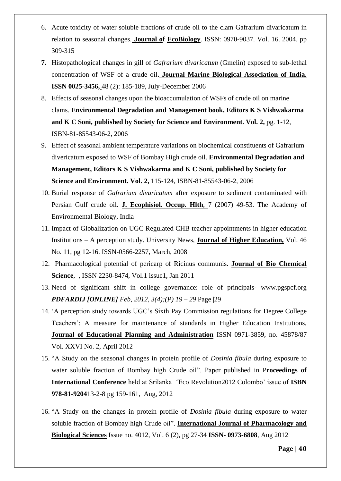- 6. Acute toxicity of water soluble fractions of crude oil to the clam Gafrarium divaricatum in relation to seasonal changes. **Journal of EcoBiology**. ISSN: 0970-9037. Vol. 16. 2004. pp 309-315
- **7.** Histopathological changes in gill of *Gafrarium divaricatum* (Gmelin) exposed to sub-lethal concentration of WSF of a crude oil**. Journal Marine Biological Association of India. ISSN 0025-3456,** 48 (2): 185-189, July-December 2006
- 8. Effects of seasonal changes upon the bioaccumulation of WSFs of crude oil on marine clams. **Environmental Degradation and Management book, Editors K S Vishwakarma and K C Soni, published by Society for Science and Environment. Vol. 2,** pg. 1-12, ISBN-81-85543-06-2, 2006
- 9. Effect of seasonal ambient temperature variations on biochemical constituents of Gafrarium divericatum exposed to WSF of Bombay High crude oil. **Environmental Degradation and Management, Editors K S Vishwakarma and K C Soni, published by Society for Science and Environment. Vol. 2,** 115-124, ISBN-81-85543-06-2, 2006
- 10. Burial response of *Gafrarium divaricatum* after exposure to sediment contaminated with Persian Gulf crude oil. **J. Ecophisiol. Occup. Hlth**, 7 (2007) 49-53. The Academy of Environmental Biology, India
- 11. Impact of Globalization on UGC Regulated CHB teacher appointments in higher education Institutions – A perception study. University News, **Journal of Higher Education,** Vol. 46 No. 11, pg 12-16. ISSN-0566-2257, March, 2008
- 12. Pharmacological potential of pericarp of Ricinus communis. **Journal of Bio Chemical Science**, , ISSN 2230-8474, Vol.1 issue1, Jan 2011
- 13. Need of significant shift in college governance: role of principals- www.pgspcf.org *PDFARDIJ [ONLINE] Feb, 2012, 3(4);(P) 19 – 29* Page |29
- 14. 'A perception study towards UGC's Sixth Pay Commission regulations for Degree College Teachers': A measure for maintenance of standards in Higher Education Institutions, **Journal of Educational Planning and Administration** ISSN 0971-3859, no. 45878/87 Vol. XXVI No. 2, April 2012
- 15. "A Study on the seasonal changes in protein profile of *Dosinia fibula* during exposure to water soluble fraction of Bombay high Crude oil". Paper published in P**roceedings of International Conference** held at Srilanka 'Eco Revolution2012 Colombo' issue of **ISBN 978-81-9204**13-2-8 pg 159-161, Aug, 2012
- 16. "A Study on the changes in protein profile of *Dosinia fibula* during exposure to water soluble fraction of Bombay high Crude oil". **International Journal of Pharmacology and Biological Sciences** Issue no. 4012, Vol. 6 (2), pg 27-34 **ISSN- 0973-6808**, Aug 2012

**Page | 40**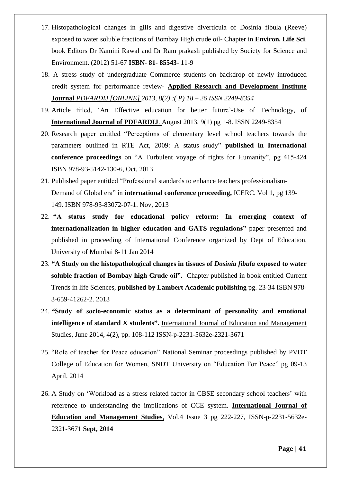- 17. Histopathological changes in gills and digestive diverticula of Dosinia fibula (Reeve) exposed to water soluble fractions of Bombay High crude oil- Chapter in **Environ. Life Sci**. book Editors Dr Kamini Rawal and Dr Ram prakash published by Society for Science and Environment. (2012) 51-67 **ISBN- 81- 85543-** 11-9
- 18. A stress study of undergraduate Commerce students on backdrop of newly introduced credit system for performance review- **Applied Research and Development Institute Journal** *PDFARDIJ [ONLINE] 2013, 8(2) ;( P) 18 – 26 ISSN 2249-8354*
- 19. Article titled, 'An Effective education for better future'-Use of Technology, of **International Journal of PDFARDIJ**. August 2013, 9(1) pg 1-8. ISSN 2249-8354
- 20. Research paper entitled "Perceptions of elementary level school teachers towards the parameters outlined in RTE Act, 2009: A status study" **published in International conference proceedings** on "A Turbulent voyage of rights for Humanity", pg 415-424 ISBN 978-93-5142-130-6, Oct, 2013
- 21. Published paper entitled "Professional standards to enhance teachers professionalism-Demand of Global era" in **international conference proceeding,** ICERC. Vol 1, pg 139- 149. ISBN 978-93-83072-07-1. Nov, 2013
- 22. **"A status study for educational policy reform: In emerging context of internationalization in higher education and GATS regulations"** paper presented and published in proceeding of International Conference organized by Dept of Education, University of Mumbai 8-11 Jan 2014
- 23. **"A Study on the histopathological changes in tissues of** *Dosinia fibula* **exposed to water soluble fraction of Bombay high Crude oil".** Chapter published in book entitled Current Trends in life Sciences, **published by Lambert Academic publishing** pg. 23-34 ISBN 978- 3-659-41262-2. 2013
- 24. **"Study of socio-economic status as a determinant of personality and emotional intelligence of standard X students".** International Journal of Education and Management Studies, June 2014, 4(2), pp. 108-112 ISSN-p-2231-5632e-2321-3671
- 25. "Role of teacher for Peace education" National Seminar proceedings published by PVDT College of Education for Women, SNDT University on "Education For Peace" pg 09-13 April, 2014
- 26. A Study on 'Workload as a stress related factor in CBSE secondary school teachers' with reference to understanding the implications of CCE system. **International Journal of Education and Management Studies**, Vol.4 Issue 3 pg 222-227, ISSN-p-2231-5632e-2321-3671 **Sept, 2014**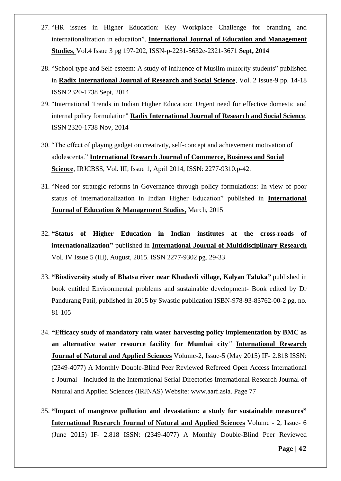- 27. "HR issues in Higher Education: Key Workplace Challenge for branding and internationalization in education". **International Journal of Education and Management Studies**, Vol.4 Issue 3 pg 197-202, ISSN-p-2231-5632e-2321-3671 **Sept, 2014**
- 28. "School type and Self-esteem: A study of influence of Muslim minority students" published in **Radix International Journal of Research and Social Science**, Vol. 2 Issue-9 pp. 14-18 ISSN 2320-1738 Sept, 2014
- 29. "International Trends in Indian Higher Education: Urgent need for effective domestic and internal policy formulation" **Radix International Journal of Research and Social Science**, ISSN 2320-1738 Nov, 2014
- 30. "The effect of playing gadget on creativity, self-concept and achievement motivation of adolescents." **International Research Journal of Commerce, Business and Social Science**, IRJCBSS, Vol. III, Issue 1, April 2014, ISSN: 2277-9310.p-42.
- 31. "Need for strategic reforms in Governance through policy formulations: In view of poor status of internationalization in Indian Higher Education" published in **International Journal of Education & Management Studies,** March, 2015
- 32. **"Status of Higher Education in Indian institutes at the cross-roads of internationalization"** published in **International Journal of Multidisciplinary Research** Vol. IV Issue 5 (III), August, 2015. ISSN 2277-9302 pg. 29-33
- 33. **"Biodiversity study of Bhatsa river near Khadavli village, Kalyan Taluka"** published in book entitled Environmental problems and sustainable development- Book edited by Dr Pandurang Patil, published in 2015 by Swastic publication ISBN-978-93-83762-00-2 pg. no. 81-105
- 34. **"Efficacy study of mandatory rain water harvesting policy implementation by BMC as an alternative water resource facility for Mumbai city***"* **International Research Journal of Natural and Applied Sciences** Volume-2, Issue-5 (May 2015) IF- 2.818 ISSN: (2349-4077) A Monthly Double-Blind Peer Reviewed Refereed Open Access International e-Journal - Included in the International Serial Directories International Research Journal of Natural and Applied Sciences (IRJNAS) Website: www.aarf.asia. Page 77
- 35. **"Impact of mangrove pollution and devastation: a study for sustainable measures" International Research Journal of Natural and Applied Sciences** Volume - 2, Issue- 6 (June 2015) IF- 2.818 ISSN: (2349-4077) A Monthly Double-Blind Peer Reviewed

**Page | 42**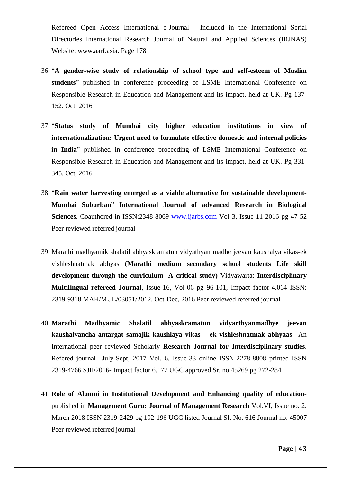Refereed Open Access International e-Journal - Included in the International Serial Directories International Research Journal of Natural and Applied Sciences (IRJNAS) Website: www.aarf.asia. Page 178

- 36. "**A gender-wise study of relationship of school type and self-esteem of Muslim students**" published in conference proceeding of LSME International Conference on Responsible Research in Education and Management and its impact, held at UK. Pg 137- 152. Oct, 2016
- 37. "**Status study of Mumbai city higher education institutions in view of internationalization: Urgent need to formulate effective domestic and internal policies in India**" published in conference proceeding of LSME International Conference on Responsible Research in Education and Management and its impact, held at UK. Pg 331- 345. Oct, 2016
- 38. "**Rain water harvesting emerged as a viable alternative for sustainable development-Mumbai Suburban**" **International Journal of advanced Research in Biological Sciences**. Coauthored in ISSN:2348-8069 [www.ijarbs.com](http://www.ijarbs.com/) Vol 3, Issue 11-2016 pg 47-52 Peer reviewed referred journal
- 39. Marathi madhyamik shalatil abhyaskramatun vidyathyan madhe jeevan kaushalya vikas-ek vishleshnatmak abhyas (**Marathi medium secondary school students Life skill development through the curriculum- A critical study)** Vidyawarta: **Interdisciplinary Multilingual refereed Journal**, Issue-16, Vol-06 pg 96-101, Impact factor-4.014 ISSN: 2319-9318 MAH/MUL/03051/2012, Oct-Dec, 2016 Peer reviewed referred journal
- 40. **Marathi Madhyamic Shalatil abhyaskramatun vidyarthyanmadhye jeevan kaushalyancha antargat samajik kaushlaya vikas – ek vishleshnatmak abhyaas** –An International peer reviewed Scholarly **Research Journal for Interdisciplinary studies**. Refered journal July-Sept, 2017 Vol. 6, Issue-33 online ISSN-2278-8808 printed ISSN 2319-4766 SJIF2016- Impact factor 6.177 UGC approved Sr. no 45269 pg 272-284
- 41. **Role of Alumni in Institutional Development and Enhancing quality of education**published in **Management Guru: Journal of Management Research** Vol.VI, Issue no. 2. March 2018 ISSN 2319-2429 pg 192-196 UGC listed Journal SI. No. 616 Journal no. 45007 Peer reviewed referred journal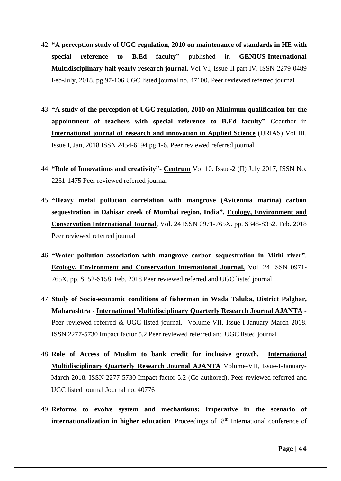- 42. **"A perception study of UGC regulation, 2010 on maintenance of standards in HE with special reference to B.Ed faculty"** published in **GENIUS-International Multidisciplinary half yearly research journal.** Vol-VI, Issue-II part IV. ISSN-2279-0489 Feb-July, 2018. pg 97-106 UGC listed journal no. 47100. Peer reviewed referred journal
- 43. **"A study of the perception of UGC regulation, 2010 on Minimum qualification for the appointment of teachers with special reference to B.Ed faculty"** Coauthor in **International journal of research and innovation in Applied Science** (IJRIAS) Vol III, Issue I, Jan, 2018 ISSN 2454-6194 pg 1-6. Peer reviewed referred journal
- 44. **"Role of Innovations and creativity"- Centrum** Vol 10. Issue-2 (II) July 2017, ISSN No. 2231-1475 Peer reviewed referred journal
- 45. **"Heavy metal pollution correlation with mangrove (Avicennia marina) carbon sequestration in Dahisar creek of Mumbai region, India". Ecology, Environment and Conservation International Journal**, Vol. 24 ISSN 0971-765X. pp. S348-S352. Feb. 2018 Peer reviewed referred journal
- 46. **"Water pollution association with mangrove carbon sequestration in Mithi river". Ecology, Environment and Conservation International Journal,** Vol. 24 ISSN 0971- 765X. pp. S152-S158. Feb. 2018 Peer reviewed referred and UGC listed journal
- 47. **Study of Socio-economic conditions of fisherman in Wada Taluka, District Palghar, Maharashtra** - **International Multidisciplinary Quarterly Research Journal AJANTA** - Peer reviewed referred & UGC listed journal. Volume-VII, Issue-I-January-March 2018. ISSN 2277-5730 Impact factor 5.2 Peer reviewed referred and UGC listed journal
- 48. **Role of Access of Muslim to bank credit for inclusive growth. International Multidisciplinary Quarterly Research Journal AJANTA** Volume-VII, Issue-I-January-March 2018. ISSN 2277-5730 Impact factor 5.2 (Co-authored). Peer reviewed referred and UGC listed journal Journal no. 40776
- 49. **Reforms to evolve system and mechanisms: Imperative in the scenario of internationalization in higher education**. Proceedings of  $18<sup>th</sup>$  International conference of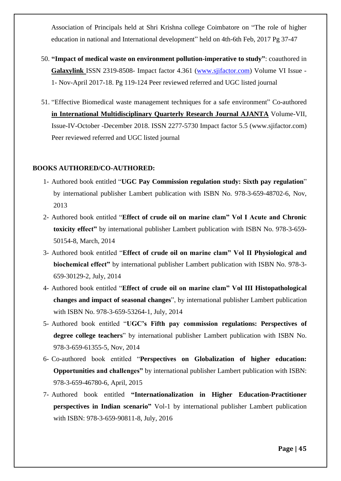Association of Principals held at Shri Krishna college Coimbatore on "The role of higher education in national and International development" held on 4th-6th Feb, 2017 Pg 37-47

- 50. **"Impact of medical waste on environment pollution-imperative to study"**: coauthored in **Galaxylink** ISSN 2319-8508- Impact factor 4.361 [\(www.sjifactor.com\)](http://www.sjifactor.com/) Volume VI Issue - 1- Nov-April 2017-18. Pg 119-124 Peer reviewed referred and UGC listed journal
- 51. "Effective Biomedical waste management techniques for a safe environment" Co-authored **in International Multidisciplinary Quarterly Research Journal AJANTA** Volume-VII, Issue-IV-October -December 2018. ISSN 2277-5730 Impact factor 5.5 (www.sjifactor.com) Peer reviewed referred and UGC listed journal

### **BOOKS AUTHORED/CO-AUTHORED:**

- 1- Authored book entitled "**UGC Pay Commission regulation study: Sixth pay regulation**" by international publisher Lambert publication with ISBN No. 978-3-659-48702-6, Nov, 2013
- 2- Authored book entitled "**Effect of crude oil on marine clam" Vol I Acute and Chronic toxicity effect"** by international publisher Lambert publication with ISBN No. 978-3-659- 50154-8, March, 2014
- 3- Authored book entitled "**Effect of crude oil on marine clam" Vol II Physiological and biochemical effect"** by international publisher Lambert publication with ISBN No. 978-3- 659-30129-2, July, 2014
- 4- Authored book entitled "**Effect of crude oil on marine clam" Vol III Histopathological changes and impact of seasonal changes**", by international publisher Lambert publication with ISBN No. 978-3-659-53264-1, July, 2014
- 5- Authored book entitled "**UGC's Fifth pay commission regulations: Perspectives of degree college teachers**" by international publisher Lambert publication with ISBN No. 978-3-659-61355-5, Nov, 2014
- 6- Co-authored book entitled "**Perspectives on Globalization of higher education: Opportunities and challenges"** by international publisher Lambert publication with ISBN: 978-3-659-46780-6, April, 2015
- 7- Authored book entitled **"Internationalization in Higher Education-Practitioner perspectives in Indian scenario"** Vol-1 by international publisher Lambert publication with ISBN: 978-3-659-90811-8, July, 2016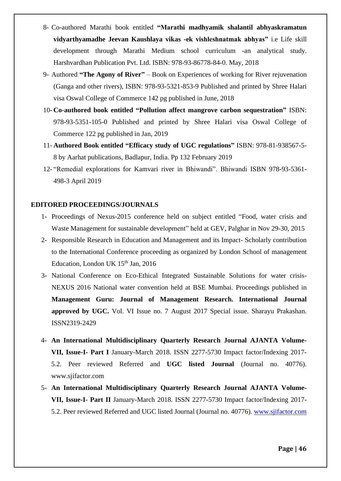- 8- Co-authored Marathi book entitled **"Marathi madhyamik shalantil abhyaskramatun vidyarthyamadhe Jeevan Kaushlaya vikas -ek vishleshnatmak abhyas"** i.e Life skill development through Marathi Medium school curriculum -an analytical study. Harshvardhan Publication Pvt. Ltd. ISBN: 978-93-86778-84-0. May, 2018
- 9- Authored **"The Agony of River"** Book on Experiences of working for River rejuvenation (Ganga and other rivers), ISBN: 978-93-5321-853-9 Published and printed by Shree Halari visa Oswal College of Commerce 142 pg published in June, 2018
- 10- **Co-authored book entitled "Pollution affect mangrove carbon sequestration"** ISBN: 978-93-5351-105-0 Published and printed by Shree Halari visa Oswal College of Commerce 122 pg published in Jan, 2019
- 11- **Authored Book entitled "Efficacy study of UGC regulations"** ISBN: 978-81-938567-5- 8 by Aarhat publications, Badlapur, India. Pp 132 February 2019
- 12- "Remedial explorations for Kamvari river in Bhiwandi". Bhiwandi ISBN 978-93-5361- 498-3 April 2019

### **EDITORED PROCEEDINGS/JOURNALS**

- 1- Proceedings of Nexus-2015 conference held on subject entitled "Food, water crisis and Waste Management for sustainable development" held at GEV, Palghar in Nov 29-30, 2015
- 2- Responsible Research in Education and Management and its Impact- Scholarly contribution to the International Conference proceeding as organized by London School of management Education, London UK  $15<sup>th</sup>$  Jan, 2016
- 3- National Conference on Eco-Ethical Integrated Sustainable Solutions for water crisis-NEXUS 2016 National water convention held at BSE Mumbai. Proceedings published in **Management Guru: Journal of Management Research. International Journal approved by UGC.** Vol. VI Issue no. 7 August 2017 Special issue. Sharayu Prakashan. ISSN2319-2429
- 4- **An International Multidisciplinary Quarterly Research Journal AJANTA Volume-VII, Issue-I- Part I** January-March 2018. ISSN 2277-5730 Impact factor/Indexing 2017- 5.2. Peer reviewed Referred and **UGC listed Journal** (Journal no. 40776). www.sjifactor.com
- 5- **An International Multidisciplinary Quarterly Research Journal AJANTA Volume-VII, Issue-I- Part II** January-March 2018. ISSN 2277-5730 Impact factor/Indexing 2017- 5.2. Peer reviewed Referred and UGC listed Journal (Journal no. 40776). [www.sjifactor.com](http://www.sjifactor.com/)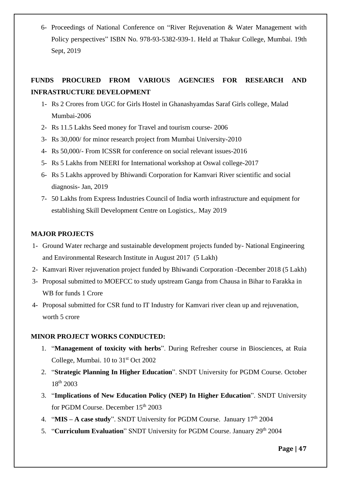6- Proceedings of National Conference on "River Rejuvenation & Water Management with Policy perspectives" ISBN No. 978-93-5382-939-1. Held at Thakur College, Mumbai. 19th Sept, 2019

# **FUNDS PROCURED FROM VARIOUS AGENCIES FOR RESEARCH AND INFRASTRUCTURE DEVELOPMENT**

- 1- Rs 2 Crores from UGC for Girls Hostel in Ghanashyamdas Saraf Girls college, Malad Mumbai-2006
- 2- Rs 11.5 Lakhs Seed money for Travel and tourism course- 2006
- 3- Rs 30,000/ for minor research project from Mumbai University-2010
- 4- Rs 50,000/- From ICSSR for conference on social relevant issues-2016
- 5- Rs 5 Lakhs from NEERI for International workshop at Oswal college-2017
- 6- Rs 5 Lakhs approved by Bhiwandi Corporation for Kamvari River scientific and social diagnosis- Jan, 2019
- 7- 50 Lakhs from Express Industries Council of India worth infrastructure and equipment for establishing Skill Development Centre on Logistics,. May 2019

## **MAJOR PROJECTS**

- 1- Ground Water recharge and sustainable development projects funded by- National Engineering and Environmental Research Institute in August 2017 (5 Lakh)
- 2- Kamvari River rejuvenation project funded by Bhiwandi Corporation -December 2018 (5 Lakh)
- 3- Proposal submitted to MOEFCC to study upstream Ganga from Chausa in Bihar to Farakka in WB for funds 1 Crore
- 4- Proposal submitted for CSR fund to IT Industry for Kamvari river clean up and rejuvenation, worth 5 crore

## **MINOR PROJECT WORKS CONDUCTED:**

- 1. "**Management of toxicity with herbs**". During Refresher course in Biosciences, at Ruia College, Mumbai. 10 to  $31<sup>st</sup>$  Oct 2002
- 2. "**Strategic Planning In Higher Education**". SNDT University for PGDM Course. October 18th 2003
- 3. "**Implications of New Education Policy (NEP) In Higher Education**". SNDT University for PGDM Course. December  $15<sup>th</sup> 2003$
- 4. "**MIS – A case study**". SNDT University for PGDM Course. January 17th 2004
- 5. "Curriculum Evaluation" SNDT University for PGDM Course. January 29<sup>th</sup> 2004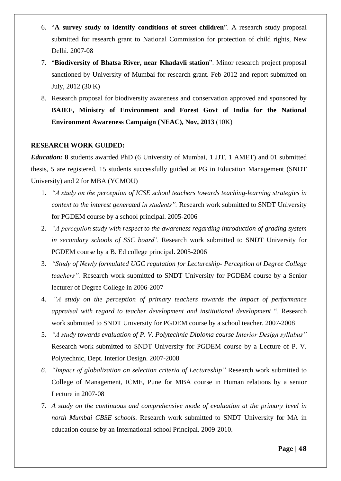- 6. "**A survey study to identify conditions of street children**". A research study proposal submitted for research grant to National Commission for protection of child rights, New Delhi. 2007-08
- 7. "**Biodiversity of Bhatsa River, near Khadavli station**". Minor research project proposal sanctioned by University of Mumbai for research grant. Feb 2012 and report submitted on July, 2012 (30 K)
- 8. Research proposal for biodiversity awareness and conservation approved and sponsored by **BAIEF, Ministry of Environment and Forest Govt of India for the National Environment Awareness Campaign (NEAC), Nov, 2013** (10K)

### **RESEARCH WORK GUIDED:**

*Education:* **8** students awarded PhD (6 University of Mumbai, 1 JJT, 1 AMET) and 01 submitted thesis, 5 are registered. 15 students successfully guided at PG in Education Management (SNDT University) and 2 for MBA (YCMOU)

- 1. *"A study on the perception of ICSE school teachers towards teaching-learning strategies in context to the interest generated in students".* Research work submitted to SNDT University for PGDEM course by a school principal. 2005-2006
- 2. *"A perception study with respect to the awareness regarding introduction of grading system in secondary schools of SSC board'.* Research work submitted to SNDT University for PGDEM course by a B. Ed college principal. 2005-2006
- 3. *"Study of Newly formulated UGC regulation for Lectureship- Perception of Degree College teachers".* Research work submitted to SNDT University for PGDEM course by a Senior lecturer of Degree College in 2006-2007
- 4. *"A study on the perception of primary teachers towards the impact of performance appraisal with regard to teacher development and institutional development* ". Research work submitted to SNDT University for PGDEM course by a school teacher. 2007-2008
- 5. *"A study towards evaluation of P. V. Polytechnic Diploma course Interior Design syllabus"*  Research work submitted to SNDT University for PGDEM course by a Lecture of P. V. Polytechnic, Dept. Interior Design. 2007-2008
- *6. "Impact of globalization on selection criteria of Lectureship"* Research work submitted to College of Management, ICME, Pune for MBA course in Human relations by a senior Lecture in 2007-08
- 7. *A study on the continuous and comprehensive mode of evaluation at the primary level in north Mumbai CBSE schools*. Research work submitted to SNDT University for MA in education course by an International school Principal. 2009-2010.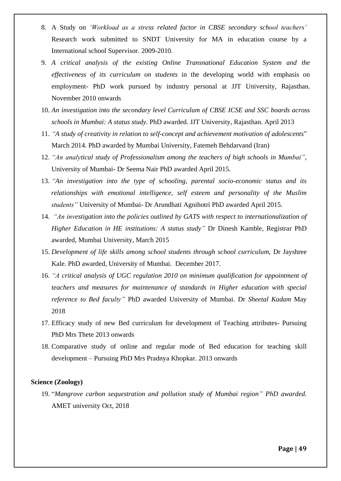- 8. A Study on *'Workload as a stress related factor in CBSE secondary school teachers'* Research work submitted to SNDT University for MA in education course by a International school Supervisor. 2009-2010.
- 9. *A critical analysis of the existing Online Transnational Education System and the effectiveness of its curriculum on students* in the developing world with emphasis on employment- PhD work pursued by industry personal at JJT University, Rajasthan. November 2010 onwards
- 10. *An investigation into the secondary level Curriculum of CBSE ICSE and SSC boards across schools in Mumbai: A status study.* PhD awarded. JJT University, Rajasthan. April 2013
- 11. *"A study of creativity in relation to self-concept and achievement motivation of adolescents*" March 2014. PhD awarded by Mumbai University, Fatemeh Behdarvand (Iran)
- 12. *"An analytical study of Professionalism among the teachers of high schools in Mumbai",*  University of Mumbai- Dr Seema Nair PhD awarded April 2015.
- 13. *"An investigation into the type of schooling, parental socio-economic status and its relationships with emotional intelligence, self esteem and personality of the Muslim students"* University of Mumbai- Dr Arundhati Agnihotri PhD awarded April 2015.
- 14. *"An investigation into the policies outlined by GATS with respect to internationalization of Higher Education in HE institutions: A status study"* Dr Dinesh Kamble, Registrar PhD awarded, Mumbai University, March 2015
- 15. *Development of life skills among school students through school curriculum,* Dr Jayshree Kale. PhD awarded, University of Mumbai. December 2017.
- 16. *"A critical analysis of UGC regulation 2010 on minimum qualification for appointment of teachers and measures for maintenance of standards in Higher education with special reference to Bed faculty"* PhD awarded University of Mumbai. Dr *Sheetal Kadam* May 2018
- 17. Efficacy study of new Bed curriculum for development of Teaching attributes- Pursuing PhD Mrs Thete 2013 onwards
- 18. Comparative study of online and regular mode of Bed education for teaching skill development – Pursuing PhD Mrs Pradnya Khopkar. 2013 onwards

### **Science (Zoology)**

19. "*Mangrove carbon sequestration and pollution study of Mumbai region" PhD awarded.* AMET university Oct, 2018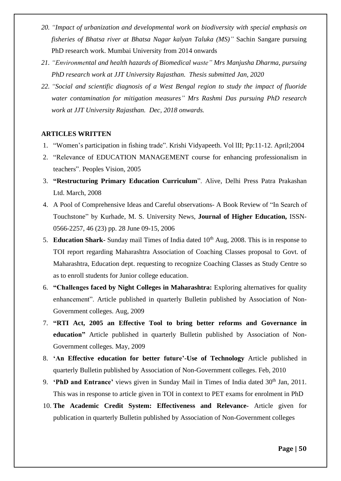- *20. "Impact of urbanization and developmental work on biodiversity with special emphasis on fisheries of Bhatsa river at Bhatsa Nagar kalyan Taluka (MS)"* Sachin Sangare pursuing PhD research work. Mumbai University from 2014 onwards
- *21. "Environmental and health hazards of Biomedical waste" Mrs Manjusha Dharma, pursuing PhD research work at JJT University Rajasthan. Thesis submitted Jan, 2020*
- *22. "Social and scientific diagnosis of a West Bengal region to study the impact of fluoride water contamination for mitigation measures" Mrs Rashmi Das pursuing PhD research work at JJT University Rajasthan. Dec, 2018 onwards.*

## **ARTICLES WRITTEN**

- 1. "Women's participation in fishing trade". Krishi Vidyapeeth. Vol lII; Pp:11-12. April;2004
- 2. "Relevance of EDUCATION MANAGEMENT course for enhancing professionalism in teachers". Peoples Vision, 2005
- 3. **"Restructuring Primary Education Curriculum**". Alive, Delhi Press Patra Prakashan Ltd. March, 2008
- 4. A Pool of Comprehensive Ideas and Careful observations- A Book Review of "In Search of Touchstone" by Kurhade, M. S. University News, **Journal of Higher Education,** ISSN-0566-2257, 46 (23) pp. 28 June 09-15, 2006
- 5. **Education Shark-** Sunday mail Times of India dated 10<sup>th</sup> Aug, 2008. This is in response to TOI report regarding Maharashtra Association of Coaching Classes proposal to Govt. of Maharashtra, Education dept. requesting to recognize Coaching Classes as Study Centre so as to enroll students for Junior college education.
- 6. **"Challenges faced by Night Colleges in Maharashtra:** Exploring alternatives for quality enhancement". Article published in quarterly Bulletin published by Association of Non-Government colleges. Aug, 2009
- 7. **"RTI Act, 2005 an Effective Tool to bring better reforms and Governance in education"** Article published in quarterly Bulletin published by Association of Non-Government colleges. May, 2009
- 8. **'An Effective education for better future'-Use of Technology** Article published in quarterly Bulletin published by Association of Non-Government colleges. Feb, 2010
- 9. **'PhD and Entrance'** views given in Sunday Mail in Times of India dated 30<sup>th</sup> Jan, 2011. This was in response to article given in TOI in context to PET exams for enrolment in PhD
- 10. **The Academic Credit System: Effectiveness and Relevance-** Article given for publication in quarterly Bulletin published by Association of Non-Government colleges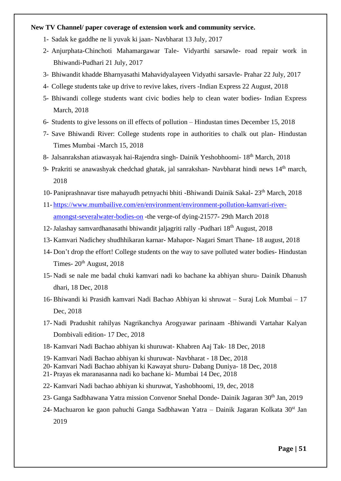#### **New TV Channel/ paper coverage of extension work and community service.**

- 1- Sadak ke gaddhe ne li yuvak ki jaan- Navbharat 13 July, 2017
- 2- Anjurphata-Chinchoti Mahamargawar Tale- Vidyarthi sarsawle- road repair work in Bhiwandi-Pudhari 21 July, 2017
- 3- Bhiwandit khadde Bharnyasathi Mahavidyalayeen Vidyathi sarsavle- Prahar 22 July, 2017
- 4- College students take up drive to revive lakes, rivers -Indian Express 22 August, 2018
- 5- Bhiwandi college students want civic bodies help to clean water bodies- Indian Express March, 2018
- 6- Students to give lessons on ill effects of pollution Hindustan times December 15, 2018
- 7- Save Bhiwandi River: College students rope in authorities to chalk out plan- Hindustan Times Mumbai -March 15, 2018
- 8- Jalsanrakshan atiawasyak hai-Rajendra singh- Dainik Yeshobhoomi- 18th March, 2018
- 9- Prakriti se anawashyak chedchad ghatak, jal sanrakshan- Navbharat hindi news 14<sup>th</sup> march, 2018
- 10- Paniprashnavar tisre mahayudh petnyachi bhiti -Bhiwandi Dainik Sakal- 23th March, 2018
- 11- [https://www.mumbailive.com/en/environment/environment-pollution-kamvari-river](https://www.mumbailive.com/en/environment/environment-pollution-kamvari-river-amongst-severalwater-bodies-on)[amongst-severalwater-bodies-on](https://www.mumbailive.com/en/environment/environment-pollution-kamvari-river-amongst-severalwater-bodies-on) -the verge-of dying-21577- 29th March 2018
- 12-Jalashay samvardhanasathi bhiwandit jaljagriti rally -Pudhari 18th August, 2018
- 13- Kamvari Nadichey shudhhikaran karnar- Mahapor- Nagari Smart Thane- 18 august, 2018
- 14- Don't drop the effort! College students on the way to save polluted water bodies- Hindustan Times-  $20<sup>th</sup>$  August, 2018
- 15- Nadi se nale me badal chuki kamvari nadi ko bachane ka abhiyan shuru- Dainik Dhanush dhari, 18 Dec, 2018
- 16- Bhiwandi ki Prasidh kamvari Nadi Bachao Abhiyan ki shruwat Suraj Lok Mumbai 17 Dec, 2018
- 17- Nadi Pradushit rahilyas Nagrikanchya Arogyawar parinaam -Bhiwandi Vartahar Kalyan Dombivali edition- 17 Dec, 2018
- 18- Kamvari Nadi Bachao abhiyan ki shuruwat- Khabren Aaj Tak- 18 Dec, 2018
- 19- Kamvari Nadi Bachao abhiyan ki shuruwat- Navbharat 18 Dec, 2018
- 20- Kamvari Nadi Bachao abhiyan ki Kawayat shuru- Dabang Duniya- 18 Dec, 2018
- 21- Prayas ek maranasanna nadi ko bachane ki- Mumbai 14 Dec, 2018
- 22- Kamvari Nadi bachao abhiyan ki shuruwat, Yashobhoomi, 19, dec, 2018
- 23- Ganga Sadbhawana Yatra mission Convenor Snehal Donde- Dainik Jagaran 30<sup>th</sup> Jan, 2019
- 24-Machuaron ke gaon pahuchi Ganga Sadbhawan Yatra Dainik Jagaran Kolkata 30<sup>st</sup> Jan 2019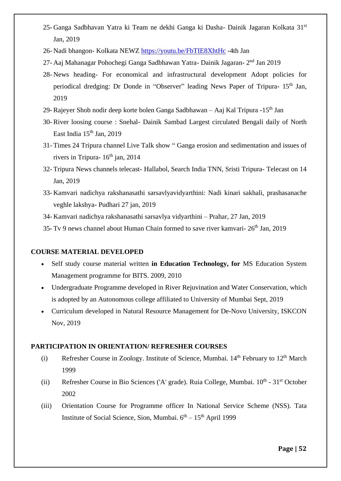- 25- Ganga Sadbhavan Yatra ki Team ne dekhi Ganga ki Dasha- Dainik Jagaran Kolkata 31<sup>st</sup> Jan, 2019
- 26- Nadi bhangon- Kolkata NEWZ<https://youtu.be/FbTIE8XhtHc> -4th Jan
- 27- Aaj Mahanagar Pohochegi Ganga Sadbhawan Yatra- Dainik Jagaran- 2<sup>nd</sup> Jan 2019
- 28- News heading- For economical and infrastructural development Adopt policies for periodical dredging: Dr Donde in "Observer" leading News Paper of Tripura- 15<sup>th</sup> Jan, 2019
- 29- Rajeyer Shob nodir deep korte bolen Ganga Sadbhawan Aaj Kal Tripura -15th Jan
- 30- River loosing course : Snehal- Dainik Sambad Largest circulated Bengali daily of North East India  $15<sup>th</sup>$  Jan, 2019
- 31- Times 24 Tripura channel Live Talk show " Ganga erosion and sedimentation and issues of rivers in Tripura-  $16<sup>th</sup>$  jan, 2014
- 32- Tripura News channels telecast- Hallabol, Search India TNN, Sristi Tripura- Telecast on 14 Jan, 2019
- 33- Kamvari nadichya rakshanasathi sarsavlyavidyarthini: Nadi kinari sakhali, prashasanache veghle lakshya- Pudhari 27 jan, 2019
- 34- Kamvari nadichya rakshanasathi sarsavlya vidyarthini Prahar, 27 Jan, 2019
- 35- Tv 9 news channel about Human Chain formed to save river kamvari- 26th Jan, 2019

### **COURSE MATERIAL DEVELOPED**

- Self study course material written **in Education Technology, for** MS Education System Management programme for BITS. 2009, 2010
- Undergraduate Programme developed in River Rejuvination and Water Conservation, which is adopted by an Autonomous college affiliated to University of Mumbai Sept, 2019
- Curriculum developed in Natural Resource Management for De-Novo University, ISKCON Nov, 2019

### **PARTICIPATION IN ORIENTATION/ REFRESHER COURSES**

- (i) Refresher Course in Zoology. Institute of Science, Mumbai.  $14<sup>th</sup>$  February to  $12<sup>th</sup>$  March 1999
- (ii) Refresher Course in Bio Sciences ('A' grade). Ruia College, Mumbai.  $10^{th}$   $31^{st}$  October 2002
- (iii) Orientation Course for Programme officer In National Service Scheme (NSS). Tata Institute of Social Science, Sion, Mumbai. 6<sup>th</sup> – 15<sup>th</sup> April 1999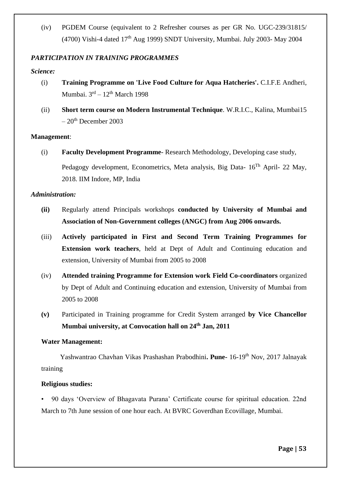(iv) PGDEM Course (equivalent to 2 Refresher courses as per GR No. UGC-239/31815/ (4700) Vishi-4 dated  $17<sup>th</sup>$  Aug 1999) SNDT University, Mumbai. July 2003- May 2004

## *PARTICIPATION IN TRAINING PROGRAMMES*

### *Science:*

- (i) **Training Programme on 'Live Food Culture for Aqua Hatcheries'.** C.I.F.E Andheri, Mumbai. 3<sup>rd</sup> – 12<sup>th</sup> March 1998
- (ii) **Short term course on Modern Instrumental Technique**. W.R.I.C., Kalina, Mumbai15  $-20$ <sup>th</sup> December 2003

### **Management**:

(i) **Faculty Development Programme**- Research Methodology, Developing case study, Pedagogy development, Econometrics, Meta analysis, Big Data-  $16<sup>Th</sup>$  April- 22 May, 2018. IIM Indore, MP, India

### *Administration:*

- **(ii)** Regularly attend Principals workshops **conducted by University of Mumbai and Association of Non-Government colleges (ANGC) from Aug 2006 onwards.**
- (iii) **Actively participated in First and Second Term Training Programmes for Extension work teachers**, held at Dept of Adult and Continuing education and extension, University of Mumbai from 2005 to 2008
- (iv) **Attended training Programme for Extension work Field Co-coordinators** organized by Dept of Adult and Continuing education and extension, University of Mumbai from 2005 to 2008
- **(v)** Participated in Training programme for Credit System arranged **by Vice Chancellor Mumbai university, at Convocation hall on 24th Jan, 2011**

### **Water Management:**

Yashwantrao Chavhan Vikas Prashashan Prabodhini**. Pune-** 16-19th Nov, 2017 Jalnayak training

### **Religious studies:**

• 90 days 'Overview of Bhagavata Purana' Certificate course for spiritual education. 22nd March to 7th June session of one hour each. At BVRC Goverdhan Ecovillage, Mumbai.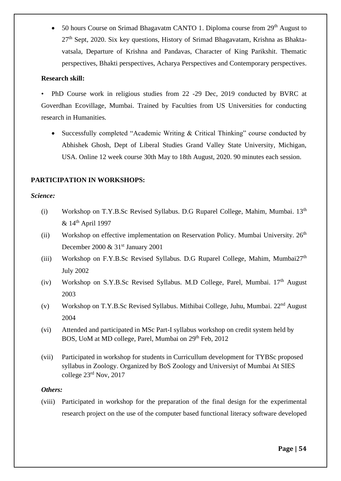50 hours Course on Srimad Bhagavatm CANTO 1. Diploma course from 29<sup>th</sup> August to  $27<sup>th</sup>$  Sept, 2020. Six key questions, History of Srimad Bhagavatam, Krishna as Bhaktavatsala, Departure of Krishna and Pandavas, Character of King Parikshit. Thematic perspectives, Bhakti perspectives, Acharya Perspectives and Contemporary perspectives.

### **Research skill:**

• PhD Course work in religious studies from 22 -29 Dec, 2019 conducted by BVRC at Goverdhan Ecovillage, Mumbai. Trained by Faculties from US Universities for conducting research in Humanities.

• Successfully completed "Academic Writing & Critical Thinking" course conducted by Abhishek Ghosh, Dept of Liberal Studies Grand Valley State University, Michigan, USA. Online 12 week course 30th May to 18th August, 2020. 90 minutes each session.

## **PARTICIPATION IN WORKSHOPS:**

## *Science:*

- (i) Workshop on T.Y.B.Sc Revised Syllabus. D.G Ruparel College, Mahim, Mumbai.  $13<sup>th</sup>$ & 14th April 1997
- (ii) Workshop on effective implementation on Reservation Policy. Mumbai University.  $26<sup>th</sup>$ December 2000  $\&$  31st January 2001
- (iii) Workshop on F.Y.B.Sc Revised Syllabus. D.G Ruparel College, Mahim, Mumbai $27<sup>th</sup>$ July 2002
- (iv) Workshop on S.Y.B.Sc Revised Syllabus. M.D College, Parel, Mumbai. 17<sup>th</sup> August 2003
- (v) Workshop on T.Y.B.Sc Revised Syllabus. Mithibai College, Juhu, Mumbai. 22nd August 2004
- (vi) Attended and participated in MSc Part-I syllabus workshop on credit system held by BOS, UoM at MD college, Parel, Mumbai on 29<sup>th</sup> Feb, 2012
- (vii) Participated in workshop for students in Curricullum development for TYBSc proposed syllabus in Zoology. Organized by BoS Zoology and Universiyt of Mumbai At SIES college 23<sup>rd</sup> Nov, 2017

## *Others:*

(viii) Participated in workshop for the preparation of the final design for the experimental research project on the use of the computer based functional literacy software developed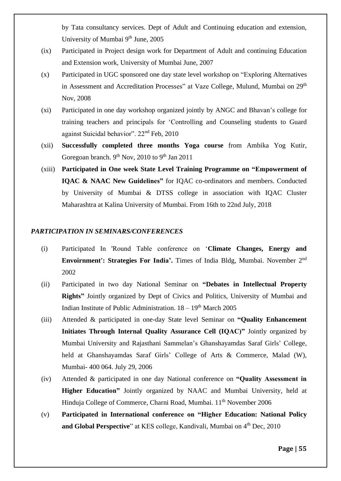by Tata consultancy services. Dept of Adult and Continuing education and extension, University of Mumbai 9<sup>th</sup> June, 2005

- (ix) Participated in Project design work for Department of Adult and continuing Education and Extension work, University of Mumbai June, 2007
- (x) Participated in UGC sponsored one day state level workshop on "Exploring Alternatives in Assessment and Accreditation Processes" at Vaze College, Mulund, Mumbai on 29<sup>th</sup> Nov, 2008
- (xi) Participated in one day workshop organized jointly by ANGC and Bhavan's college for training teachers and principals for 'Controlling and Counseling students to Guard against Suicidal behavior". 22nd Feb, 2010
- (xii) **Successfully completed three months Yoga course** from Ambika Yog Kutir, Goregoan branch. 9<sup>th</sup> Nov, 2010 to 9<sup>th</sup> Jan 2011
- (xiii) **Participated in One week State Level Training Programme on "Empowerment of IQAC & NAAC New Guidelines"** for IQAC co-ordinators and members. Conducted by University of Mumbai & DTSS college in association with IQAC Cluster Maharashtra at Kalina University of Mumbai. From 16th to 22nd July, 2018

### *PARTICIPATION IN SEMINARS/CONFERENCES*

- (i) Participated In 'Round Table conference on '**Climate Changes, Energy and Envoirnment': Strategies For India'.** Times of India Bldg, Mumbai. November 2nd 2002
- (ii) Participated in two day National Seminar on **"Debates in Intellectual Property Rights"** Jointly organized by Dept of Civics and Politics, University of Mumbai and Indian Institute of Public Administration.  $18 - 19<sup>th</sup>$  March 2005
- (iii) Attended & participated in one-day State level Seminar on **"Quality Enhancement Initiates Through Internal Quality Assurance Cell (IQAC)"** Jointly organized by Mumbai University and Rajasthani Sammelan's Ghanshayamdas Saraf Girls' College, held at Ghanshayamdas Saraf Girls' College of Arts & Commerce, Malad (W), Mumbai- 400 064. July 29, 2006
- (iv) Attended & participated in one day National conference on **"Quality Assessment in Higher Education"** Jointly organized by NAAC and Mumbai University, held at Hinduja College of Commerce, Charni Road, Mumbai. 11<sup>th</sup> November 2006
- (v) **Participated in International conference on "Higher Education: National Policy and Global Perspective**" at KES college, Kandivali, Mumbai on 4<sup>th</sup> Dec, 2010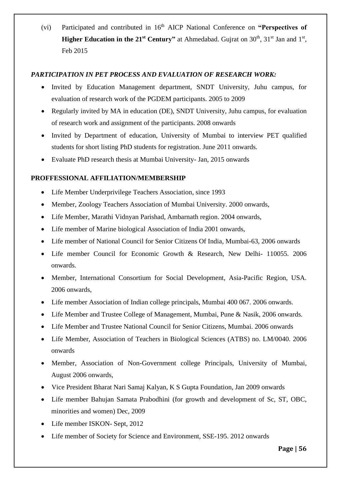(vi) Participated and contributed in 16<sup>th</sup> AICP National Conference on "Perspectives of **Higher Education in the 21<sup>st</sup> Century"** at Ahmedabad. Gujrat on  $30<sup>th</sup>$ ,  $31<sup>st</sup>$  Jan and  $1<sup>st</sup>$ , Feb 2015

### *PARTICIPATION IN PET PROCESS AND EVALUATION OF RESEARCH WORK:*

- Invited by Education Management department, SNDT University, Juhu campus, for evaluation of research work of the PGDEM participants. 2005 to 2009
- Regularly invited by MA in education (DE), SNDT University, Juhu campus, for evaluation of research work and assignment of the participants. 2008 onwards
- Invited by Department of education, University of Mumbai to interview PET qualified students for short listing PhD students for registration. June 2011 onwards.
- Evaluate PhD research thesis at Mumbai University- Jan, 2015 onwards

## **PROFFESSIONAL AFFILIATION/MEMBERSHIP**

- Life Member Underprivilege Teachers Association, since 1993
- Member, Zoology Teachers Association of Mumbai University. 2000 onwards,
- Life Member, Marathi Vidnyan Parishad, Ambarnath region. 2004 onwards,
- Life member of Marine biological Association of India 2001 onwards,
- Life member of National Council for Senior Citizens Of India, Mumbai-63, 2006 onwards
- Life member Council for Economic Growth & Research, New Delhi- 110055. 2006 onwards.
- Member, International Consortium for Social Development, Asia-Pacific Region, USA. 2006 onwards,
- Life member Association of Indian college principals, Mumbai 400 067. 2006 onwards.
- Life Member and Trustee College of Management, Mumbai, Pune & Nasik, 2006 onwards.
- Life Member and Trustee National Council for Senior Citizens, Mumbai. 2006 onwards
- Life Member, Association of Teachers in Biological Sciences (ATBS) no. LM/0040. 2006 onwards
- Member, Association of Non-Government college Principals, University of Mumbai, August 2006 onwards,
- Vice President Bharat Nari Samaj Kalyan, K S Gupta Foundation, Jan 2009 onwards
- Life member Bahujan Samata Prabodhini (for growth and development of Sc, ST, OBC, minorities and women) Dec, 2009
- Life member ISKON- Sept, 2012
- Life member of Society for Science and Environment, SSE-195, 2012 onwards